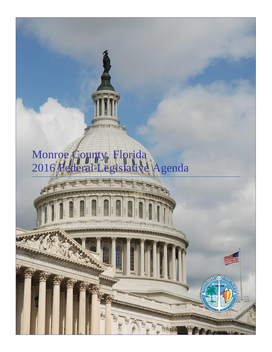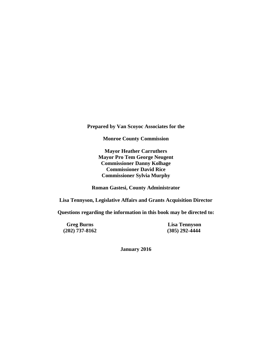**Prepared by Van Scoyoc Associates for the**

**Monroe County Commission**

**Mayor Heather Carruthers Mayor Pro Tem George Neugent Commissioner Danny Kolhage Commissioner David Rice Commissioner Sylvia Murphy**

**Roman Gastesi, County Administrator**

**Lisa Tennyson, Legislative Affairs and Grants Acquisition Director**

**Questions regarding the information in this book may be directed to:**

**(202) 737-8162 (305) 292-4444**

**Greg Burns Lisa Tennyson**<br>202) 737-8162 (305) 292-4444

**January 2016**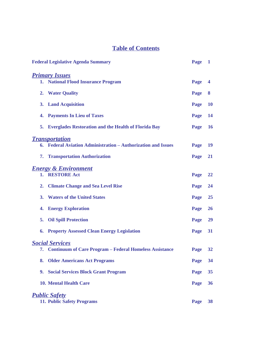# **Table of Contents**

| <b>Federal Legislative Agenda Summary</b>                            | Page | $\mathbf{1}$            |
|----------------------------------------------------------------------|------|-------------------------|
| <b>Primary Issues</b>                                                |      |                         |
| 1. National Flood Insurance Program                                  | Page | $\overline{\mathbf{4}}$ |
| 2. Water Quality                                                     | Page | 8                       |
| 3. Land Acquisition                                                  | Page | <b>10</b>               |
| 4. Payments In Lieu of Taxes                                         | Page | <b>14</b>               |
| 5. Everglades Restoration and the Health of Florida Bay              | Page | <b>16</b>               |
| <b>Transportation</b>                                                |      |                         |
| 6. Federal Aviation Administration - Authorization and Issues        | Page | 19                      |
| 7. Transportation Authorization                                      | Page | 21                      |
| <b>Energy &amp; Environment</b>                                      |      |                         |
| 1. RESTORE Act                                                       | Page | 22                      |
| 2. Climate Change and Sea Level Rise                                 | Page | 24                      |
| 3. Waters of the United States                                       | Page | 25                      |
| <b>4. Energy Exploration</b>                                         | Page | 26                      |
| 5. Oil Spill Protection                                              | Page | 29                      |
| <b>6. Property Assessed Clean Energy Legislation</b>                 | Page | 31                      |
| <b>Social Services</b>                                               |      |                         |
| <b>Continuum of Care Program - Federal Homeless Assistance</b><br>7. | Page | 32                      |
| <b>Older Americans Act Programs</b><br>8.                            | Page | 34                      |
| 9. Social Services Block Grant Program                               | Page | 35                      |
| <b>10. Mental Health Care</b>                                        | Page | 36                      |
| <b>Public Safety</b>                                                 |      |                         |
| 11. Public Safety Programs                                           | Page | 38                      |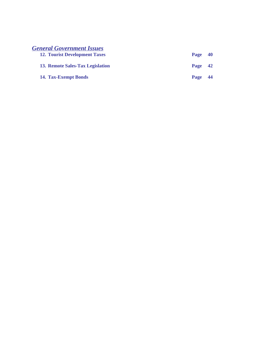# *General Government Issues*

| <b>12. Tourist Development Taxes</b> | Page    | 40   |
|--------------------------------------|---------|------|
| 13. Remote Sales-Tax Legislation     | Page 42 |      |
| 14. Tax-Exempt Bonds                 | Page    | - 44 |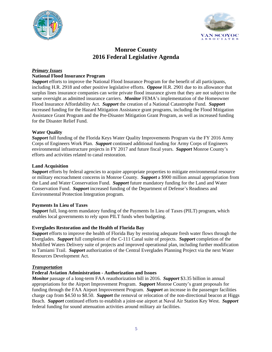



# **Monroe County 2016 Federal Legislative Agenda**

# *Primary Issues* **National Flood Insurance Program**

*Support* efforts to improve the National Flood Insurance Program for the benefit of all participants, including H.R. 2918 and other positive legislative efforts. *Oppose* H.R. 2901 due to its allowance that surplus lines insurance companies can write private flood insurance given that they are not subject to the same oversight as admitted insurance carriers. *Monitor* FEMA's implementation of the Homeowner Flood Insurance Affordability Act. *Support* the creation of a National Catastrophe Fund. *Support* increased funding for the Hazard Mitigation Assistance grant programs, including the Flood Mitigation Assistance Grant Program and the Pre-Disaster Mitigation Grant Program, as well as increased funding for the Disaster Relief Fund.

# **Water Quality**

*Support* full funding of the Florida Keys Water Quality Improvements Program via the FY 2016 Army Corps of Engineers Work Plan. *Support* continued additional funding for Army Corps of Engineers environmental infrastructure projects in FY 2017 and future fiscal years. *Support* Monroe County's efforts and activities related to canal restoration.

# **Land Acquisition**

**Support** efforts by federal agencies to acquire appropriate properties to mitigate environmental resource or military encroachment concerns in Monroe County. *Support* a \$900 million annual appropriation from the Land and Water Conservation Fund. *Support* future mandatory funding for the Land and Water Conservation Fund. *Support* increased funding of the Department of Defense's Readiness and Environmental Protection Integration program.

# **Payments In Lieu of Taxes**

*Support* full, long-term mandatory funding of the Payments In Lieu of Taxes (PILT) program, which enables local governments to rely upon PILT funds when budgeting.

# **Everglades Restoration and the Health of Florida Bay**

*Support* efforts to improve the health of Florida Bay by restoring adequate fresh water flows through the Everglades. *Support* full completion of the C-111 Canal suite of projects. *Support* completion of the Modified Waters Delivery suite of projects and improved operational plan, including further modification to Tamiami Trail. *Support* authorization of the Central Everglades Planning Project via the next Water Resources Development Act.

### *Transportation*

# **Federal Aviation Administration - Authorization and Issues**

*Monitor* passage of a long-term FAA reauthorization bill in 2016. *Support* \$3.35 billion in annual appropriations for the Airport Improvement Program. *Support* Monroe County's grant proposals for funding through the FAA Airport Improvement Program. *Support* an increase in the passenger facilities charge cap from \$4.50 to \$8.50. *Support* the removal or relocation of the non-directional beacon at Higgs Beach. *Support* continued efforts to establish a joint-use airport at Naval Air Station Key West. *Support*  federal funding for sound attenuation activities around military air facilities.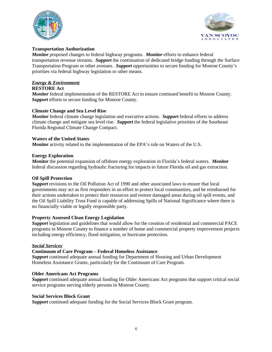



### **Transportation Authorization**

*Monitor* proposed changes to federal highway programs. *Monitor* efforts to enhance federal transportation revenue streams. *Support* the continuation of dedicated bridge funding through the Surface Transportation Program or other avenues. *Support* opportunities to secure funding for Monroe County's priorities via federal highway legislation or other means.

### *Energy & Environment*

### **RESTORE Act**

*Monitor* federal implementation of the RESTORE Act to ensure continued benefit to Monroe County. *Support* efforts to secure funding for Monroe County.

### **Climate Change and Sea Level Rise**

*Monitor* federal climate change legislation and executive actions. *Support* federal efforts to address climate change and mitigate sea level rise. *Support* the federal legislative priorities of the Southeast Florida Regional Climate Change Compact.

### **Waters of the United States**

*Monitor* activity related to the implementation of the EPA's rule on Waters of the U.S.

### **Energy Exploration**

*Monitor* the potential expansion of offshore energy exploration in Florida's federal waters. *Monitor* federal discussion regarding hydraulic fracturing for impacts to future Florida oil and gas extraction.

### **Oil Spill Protection**

*Support* revisions to the Oil Pollution Act of 1990 and other associated laws to ensure that local governments may act as first responders in an effort to protect local communities, and be reimbursed for their actions undertaken to protect their resources and restore damaged areas during oil spill events, and the Oil Spill Liability Trust Fund is capable of addressing Spills of National Significance where there is no financially viable or legally responsible party.

### **Property Assessed Clean Energy Legislation**

*Support* legislation and guidelines that would allow for the creation of residential and commercial PACE programs in Monroe County to finance a number of home and commercial property improvement projects including energy efficiency, flood mitigation, or hurricane protection.

### *Social Services*

### **Continuum of Care Program – Federal Homeless Assistance**

*Support* continued adequate annual funding for Department of Housing and Urban Development Homeless Assistance Grants, particularly for the Continuum of Care Program.

### **Older Americans Act Programs**

*Support* continued adequate annual funding for Older Americans Act programs that support critical social service programs serving elderly persons in Monroe County.

### **Social Services Block Grant**

*Support* continued adequate funding for the Social Services Block Grant program.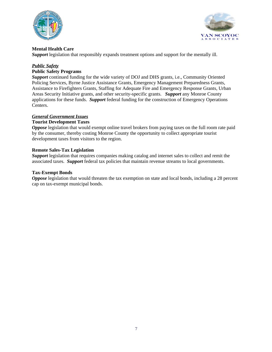



### **Mental Health Care**

*Support* legislation that responsibly expands treatment options and support for the mentally ill.

# *Public Safety*

### **Public Safety Programs**

*Support* continued funding for the wide variety of DOJ and DHS grants, i.e., Community Oriented Policing Services, Byrne Justice Assistance Grants, Emergency Management Preparedness Grants, Assistance to Firefighters Grants, Staffing for Adequate Fire and Emergency Response Grants, Urban Areas Security Initiative grants, and other security-specific grants. *Support* any Monroe County applications for these funds. *Support* federal funding for the construction of Emergency Operations Centers.

# *General Government Issues*

### **Tourist Development Taxes**

*Oppose* legislation that would exempt online travel brokers from paying taxes on the full room rate paid by the consumer, thereby costing Monroe County the opportunity to collect appropriate tourist development taxes from visitors to the region.

### **Remote Sales-Tax Legislation**

*Support* legislation that requires companies making catalog and internet sales to collect and remit the associated taxes. *Support* federal tax policies that maintain revenue streams to local governments.

### **Tax-Exempt Bonds**

*Oppose* legislation that would threaten the tax exemption on state and local bonds, including a 28 percent cap on tax-exempt municipal bonds.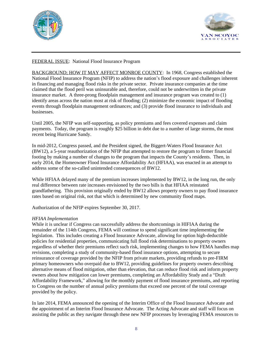



# FEDERAL ISSUE: National Flood Insurance Program

BACKGROUND; HOW IT MAY AFFECT MONROE COUNTY: In 1968, Congress established the National Flood Insurance Program (NFIP) to address the nation's flood exposure and challenges inherent in financing and managing flood risks in the private sector. Private insurance companies at the time claimed that the flood peril was uninsurable and, therefore, could not be underwritten in the private insurance market. A three-prong floodplain management and insurance program was created to (1) identify areas across the nation most at risk of flooding; (2) minimize the economic impact of flooding events through floodplain management ordinances; and (3) provide flood insurance to individuals and businesses.

Until 2005, the NFIP was self-supporting, as policy premiums and fees covered expenses and claim payments. Today, the program is roughly \$25 billion in debt due to a number of large storms, the most recent being Hurricane Sandy.

In mid-2012, Congress passed, and the President signed, the Biggert-Waters Flood Insurance Act (BW12), a 5-year reauthorization of the NFIP that attempted to restore the program to firmer financial footing by making a number of changes to the program that impacts the County's residents. Then, in early 2014, the Homeowner Flood Insurance Affordability Act (HFIAA), was enacted in an attempt to address some of the so-called unintended consequences of BW12.

While HFIAA delayed many of the premium increases implemented by BW12, in the long run, the only real difference between rate increases envisioned by the two bills is that HFIAA reinstated grandfathering. This provision originally ended by BW12 allows property owners to pay flood insurance rates based on original risk, not that which is determined by new community flood maps.

Authorization of the NFIP expires September 30, 2017.

### *HFIAA Implementation*

While it is unclear if Congress can successfully address the shortcomings in HIFIAA during the remainder of the 114th Congress, FEMA will continue to spend significant time implementing the legislation. This includes creating a Flood Insurance Advocate, allowing for option high-deductible policies for residential properties, communicating full flood risk determinations to property owners regardless of whether their premiums reflect such risk, implementing changes to how FEMA handles map revisions, completing a study of community-based flood insurance options, attempting to secure reinsurance of coverage provided by the NFIP from private markets, providing refunds to pre-FIRM primary homeowners who overpaid due to BW12, providing guidelines for property owners describing alternative means of flood mitigation, other than elevation, that can reduce flood risk and inform property owners about how mitigation can lower premiums, completing an Affordability Study and a "Draft Affordability Framework," allowing for the monthly payment of flood insurance premiums, and reporting to Congress on the number of annual policy premiums that exceed one percent of the total coverage provided by the policy.

In late 2014, FEMA announced the opening of the Interim Office of the Flood Insurance Advocate and the appointment of an Interim Flood Insurance Advocate. The Acting Advocate and staff will focus on assisting the public as they navigate through these new NFIP processes by leveraging FEMA resources to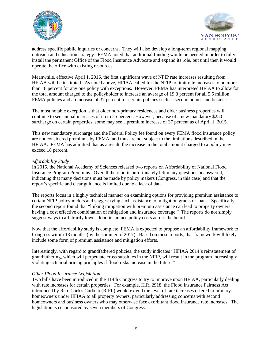



address specific public inquiries or concerns. They will also develop a long-term regional mapping outreach and education strategy. FEMA noted that additional funding would be needed in order to fully install the permanent Office of the Flood Insurance Advocate and expand its role, but until then it would operate the office with existing resources.

Meanwhile, effective April 1, 2016, the first significant wave of NFIP rate increases resulting from HFIAA will be instituted. As noted above, HFIAA called for the NFIP to limit rate increases to no more than 18 percent for any one policy with exceptions. However, FEMA has interpreted HFIAA to allow for the total amount charged to the policyholder to increase an average of 19.8 percent for all 5.5 million FEMA policies and an increase of 37 percent for certain policies such as second homes and businesses.

The most notable exception is that older non-primary residences and older business properties will continue to see annual increases of up to 25 percent. However, because of a new mandatory \$250 surcharge on certain properties, some may see a premium increase of 37 percent as of April 1, 2015.

This new mandatory surcharge and the Federal Policy fee found on every FEMA flood insurance policy are not considered premiums by FEMA, and thus are not subject to the limitations described in the HFIAA. FEMA has admitted that as a result, the increase in the total amount charged to a policy may exceed 18 percent.

### *Affordability Study*

In 2015, the National Academy of Sciences released two reports on Affordability of National Flood Insurance Program Premiums. Overall the reports unfortunately left many questions unanswered, indicating that many decisions must be made by policy makers (Congress, in this case) and that the report's specific and clear guidance is limited due to a lack of data.

The reports focus in a highly technical manner on examining options for providing premium assistance to certain NFIP policyholders and suggest tying such assistance to mitigation grants or loans. Specifically, the second report found that "linking mitigation with premium assistance can lead to property owners having a cost effective combination of mitigation and insurance coverage." The reports do not simply suggest ways to arbitrarily lower flood insurance policy costs across the board.

Now that the affordability study is complete, FEMA is expected to propose an affordability framework to Congress within 18 months (by the summer of 2017). Based on these reports, that framework will likely include some form of premium assistance and mitigation efforts.

Interestingly, with regard to grandfathered policies, the study indicates "HFIAA 2014's reinstatement of grandfathering, which will perpetuate cross subsidies in the NFIP, will result in the program increasingly violating actuarial pricing principles if flood risks increase in the future."

### *Other Flood Insurance Legislation*

Two bills have been introduced in the 114th Congress to try to improve upon HFIAA, particularly dealing with rate increases for certain properties. For example, H.R. 2918, the Flood Insurance Fairness Act introduced by Rep. Carlos Curbelo (R-FL) would extend the level of rate increases offered to primary homeowners under HFIAA to all property owners, particularly addressing concerns with second homeowners and business owners who may otherwise face exorbitant flood insurance rate increases. The legislation is cosponsored by seven members of Congress.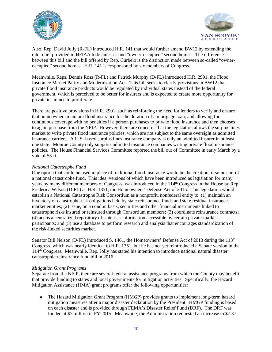



Also, Rep. David Jolly (R-FL) introduced H.R. 141 that would further amend BW12 by extending the rate relief provided in HFIAA to businesses and "owner-occupied" second homes. The difference between this bill and the bill offered by Rep. Curbelo is the distinction made between so-called "owneroccupied" second homes. H.R. 141 is cosponsored by six members of Congress.

Meanwhile, Reps. Dennis Ross (R-FL) and Patrick Murphy (D-FL) introduced H.R. 2901, the Flood Insurance Market Parity and Modernization Act. This bill seeks to clarify provisions in BW12 that private flood insurance products would be regulated by individual states instead of the federal government, which is perceived to be better for insurers and is expected to create more opportunity for private insurance to proliferate.

There are positive provisions in H.R. 2901, such as reinforcing the need for lenders to verify and ensure that homeowners maintain flood insurance for the duration of a mortgage loan, and allowing for continuous coverage with no penalties if a person purchases to private flood insurance and then chooses to again purchase from the NFIP. However, there are concerns that the legislation allows the surplus lines market to write private flood insurance policies, which are not subject to the same oversight as admitted insurance carriers. A U.S.-based surplus lines insurance company is only an admitted insurer in at least one state. Monroe County only supports admitted insurance companies writing private flood insurance policies. The House Financial Services Committee reported the bill out of Committee in early March by a vote of 53-0.

### *National Catastrophe Fund*

One option that could be used in place of traditional flood insurance would be the creation of some sort of a national catastrophe fund. This idea, versions of which have been introduced as legislation for many years by many different members of Congress, was introduced in the 114<sup>th</sup> Congress in the House by Rep. Frederica Wilson (D-FL) as H.R. 1351, the Homeowners' Defense Act of 2015. This legislation would establish a National Catastrophe Risk Consortium as a nonprofit, nonfederal entity to: (1) maintain an inventory of catastrophe risk obligations held by state reinsurance funds and state residual insurance market entities; (2) issue, on a conduit basis, securities and other financial instruments linked to catastrophe risks insured or reinsured through Consortium members; (3) coordinate reinsurance contracts; (4) act as a centralized repository of state risk information accessible by certain private-market participants; and (5) use a database to perform research and analysis that encourages standardization of the risk-linked securities market.

Senator Bill Nelson (D-FL) introduced S. 1461, the Homeowners' Defense Act of 2013 during the 113<sup>th</sup> Congress, which was nearly identical to H.R. 1351, but he has not yet reintroduced a Senate version in the 114th Congress. Meanwhile, Rep. Jolly has stated his intention to introduce national natural disaster catastrophic reinsurance fund bill in 2016.

### *Mitigation Grant Programs*

Separate from the NFIP, there are several federal assistance programs from which the County may benefit that provide funding to states and local governments for mitigation activities. Specifically, the Hazard Mitigation Assistance (HMA) grant programs offer the following opportunities:

 The Hazard Mitigation Grant Program (HMGP) provides grants to implement long-term hazard mitigation measures after a major disaster declaration by the President. HMGP funding is based on each disaster and is provided through FEMA's Disaster Relief Fund (DRF). The DRF was funded at \$7 million in FY 2015. Meanwhile, the Administration requested an increase to \$7.37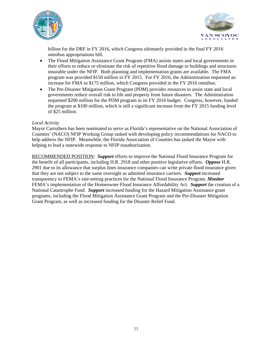



billion for the DRF in FY 2016, which Congress ultimately provided in the final FY 2016 omnibus appropriations bill.

- The Flood Mitigation Assistance Grant Program (FMA) assists states and local governments in their efforts to reduce or eliminate the risk of repetitive flood damage to buildings and structures insurable under the NFIP. Both planning and implementation grants are available. The FMA program was provided \$150 million in FY 2015. For FY 2016, the Administration requested an increase for FMA to \$175 million, which Congress provided in the FY 2016 omnibus.
- The Pre-Disaster Mitigation Grant Program (PDM) provides resources to assist state and local governments reduce overall risk to life and property from future disasters. The Administration requested \$200 million for the PDM program in its FY 2016 budget. Congress, however, funded the program at \$100 million, which is still a significant increase from the FY 2015 funding level of \$25 million.

### *Local Activity*

Mayor Carruthers has been nominated to serve as Florida's representative on the National Association of Counties' (NACO) NFIP Working Group tasked with developing policy recommendations for NACO to help address the NFIP. Meanwhile, the Florida Association of Counties has tasked the Mayor with helping to lead a statewide response to NFIP reauthorization.

RECOMMENDED POSITION: *Support* efforts to improve the National Flood Insurance Program for the benefit of all participants, including H.R. 2918 and other positive legislative efforts. *Oppose* H.R. 2901 due to its allowance that surplus lines insurance companies can write private flood insurance given that they are not subject to the same oversight as admitted insurance carriers. *Support* increased transparency to FEMA's rate-setting practices for the National Flood Insurance Program. *Monitor* FEMA's implementation of the Homeowner Flood Insurance Affordability Act. *Support* the creation of a National Catastrophe Fund. *Support* increased funding for the Hazard Mitigation Assistance grant programs, including the Flood Mitigation Assistance Grant Program and the Pre-Disaster Mitigation Grant Program, as well as increased funding for the Disaster Relief Fund.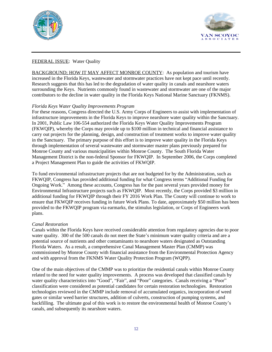



# FEDERAL ISSUE: Water Quality

BACKGROUND; HOW IT MAY AFFECT MONROE COUNTY: As population and tourism have increased in the Florida Keys, wastewater and stormwater practices have not kept pace until recently. Research suggests that this has led to the degradation of water quality in canals and nearshore waters surrounding the Keys. Nutrients commonly found in wastewater and stormwater are one of the major contributors to the decline in water quality in the Florida Keys National Marine Sanctuary (FKNMS).

# *Florida Keys Water Quality Improvements Program*

For these reasons, Congress directed the U.S. Army Corps of Engineers to assist with implementation of infrastructure improvements in the Florida Keys to improve nearshore water quality within the Sanctuary. In 2001, Public Law 106-554 authorized the Florida Keys Water Quality Improvements Program (FKWQIP), whereby the Corps may provide up to \$100 million in technical and financial assistance to carry out projects for the planning, design, and construction of treatment works to improve water quality in the Sanctuary. The primary purpose of this effort is to improve water quality in the Florida Keys through implementation of several wastewater and stormwater master plans previously prepared for Monroe County and various municipalities within Monroe County. The South Florida Water Management District is the non-federal Sponsor for FKWQIP. In September 2006, the Corps completed a Project Management Plan to guide the activities of FKWQIP.

To fund environmental infrastructure projects that are not budgeted for by the Administration, such as FKWQIP, Congress has provided additional funding for what Congress terms "Additional Funding for Ongoing Work." Among these accounts, Congress has for the past several years provided money for Environmental Infrastructure projects such as FKWQIP. Most recently, the Corps provided \$3 million in additional funding for FKWQIP through their FY 2016 Work Plan. The County will continue to work to ensure that FKWQIP receives funding in future Work Plans. To date, approximately \$50 million has been provided to the FKWQIP program via earmarks, the stimulus legislation, or Corps of Engineers work plans.

### *Canal Restoration*

Canals within the Florida Keys have received considerable attention from regulatory agencies due to poor water quality. 300 of the 500 canals do not meet the State's minimum water quality criteria and are a potential source of nutrients and other contaminants to nearshore waters designated as Outstanding Florida Waters. As a result, a comprehensive Canal Management Master Plan (CMMP) was commissioned by Monroe County with financial assistance from the Environmental Protection Agency and with approval from the FKNMS Water Quality Protection Program (WQPP).

One of the main objectives of the CMMP was to prioritize the residential canals within Monroe County related to the need for water quality improvements. A process was developed that classified canals by water quality characteristics into "Good", "Fair", and "Poor" categories. Canals receiving a "Poor" classification were considered as potential candidates for certain restoration technologies. Restoration technologies reviewed in the CMMP include removal of accumulated organics, incorporation of weed gates or similar weed barrier structures, addition of culverts, construction of pumping systems, and backfilling. The ultimate goal of this work is to restore the environmental health of Monroe County's canals, and subsequently its nearshore waters.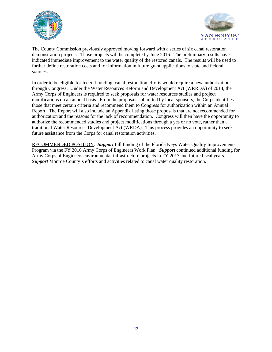



The County Commission previously approved moving forward with a series of six canal restoration demonstration projects. Those projects will be complete by June 2016. The preliminary results have indicated immediate improvement to the water quality of the restored canals. The results will be used to further define restoration costs and for information in future grant applications to state and federal sources.

In order to be eligible for federal funding, canal restoration efforts would require a new authorization through Congress. Under the Water Resources Reform and Development Act (WRRDA) of 2014, the Army Corps of Engineers is required to seek proposals for water resources studies and project modifications on an annual basis. From the proposals submitted by local sponsors, the Corps identifies those that meet certain criteria and recommend them to Congress for authorization within an Annual Report. The Report will also include an Appendix listing those proposals that are not recommended for authorization and the reasons for the lack of recommendation. Congress will then have the opportunity to authorize the recommended studies and project modifications through a yes or no vote, rather than a traditional Water Resources Development Act (WRDA). This process provides an opportunity to seek future assistance from the Corps for canal restoration activities.

RECOMMENDED POSITION: *Support* full funding of the Florida Keys Water Quality Improvements Program via the FY 2016 Army Corps of Engineers Work Plan. *Support* continued additional funding for Army Corps of Engineers environmental infrastructure projects in FY 2017 and future fiscal years. **Support** Monroe County's efforts and activities related to canal water quality restoration.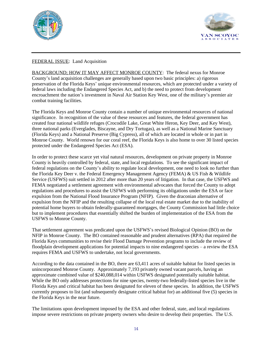



# FEDERAL ISSUE: Land Acquisition

BACKGROUND; HOW IT MAY AFFECT MONROE COUNTY: The federal nexus for Monroe County's land acquisition challenges are generally based upon two basic principles: a) rigorous preservation of the Florida Keys' unique environmental resources, which are protected under a variety of federal laws including the Endangered Species Act, and b) the need to protect from development encroachment the nation's investment in Naval Air Station Key West, one of the military's premier air combat training facilities.

The Florida Keys and Monroe County contain a number of unique environmental resources of national significance. In recognition of the value of these resources and features, the federal government has created four national wildlife refuges (Crocodile Lake, Great White Heron, Key Deer, and Key West), three national parks (Everglades, Biscayne, and Dry Tortugas), as well as a National Marine Sanctuary (Florida Keys) and a National Preserve (Big Cypress), all of which are located in whole or in part in Monroe County. World renown for our coral reef, the Florida Keys is also home to over 30 listed species protected under the Endangered Species Act (ESA).

In order to protect these scarce yet vital natural resources, development on private property in Monroe County is heavily controlled by federal, state, and local regulations. To see the significant impact of federal regulations on the County's ability to regulate local development, one need to look no further than the Florida Key Deer v. the Federal Emergency Management Agency (FEMA) & US Fish & Wildlife Service (USFWS) suit settled in 2012 after more than 20 years of litigation. In that case, the USFWS and FEMA negotiated a settlement agreement with environmental advocates that forced the County to adopt regulations and procedures to assist the USFWS with performing its obligations under the ESA or face expulsion from the National Flood Insurance Program (NFIP). Given the draconian alternative of expulsion from the NFIP and the resulting collapse of the local real estate market due to the inability of potential home buyers to obtain federally-guaranteed mortgages, the County Commission had little choice but to implement procedures that essentially shifted the burden of implementation of the ESA from the USFWS to Monroe County.

That settlement agreement was predicated upon the USFWS's revised Biological Opinion (BO) on the NFIP in Monroe County. The BO contained reasonable and prudent alternatives (RPA) that required the Florida Keys communities to revise their Flood Damage Prevention programs to include the review of floodplain development applications for potential impacts to nine endangered species – a review the ESA requires FEMA and USFWS to undertake, not local governments.

According to the data contained in the BO, there are 63,411 acres of suitable habitat for listed species in unincorporated Monroe County. Approximately 7,193 privately owned vacant parcels, having an approximate combined value of \$240,088,014 within USFWS designated potentially suitable habitat. While the BO only addresses protections for nine species, twenty-two federally-listed species live in the Florida Keys and critical habitat has been designated for eleven of these species. In addition, the USFWS currently proposes to list (and subsequently designate critical habitat for) an additional five (5) species in the Florida Keys in the near future.

The limitations upon development imposed by the ESA and other federal, state, and local regulations impose severe restrictions on private property owners who desire to develop their properties. The U.S.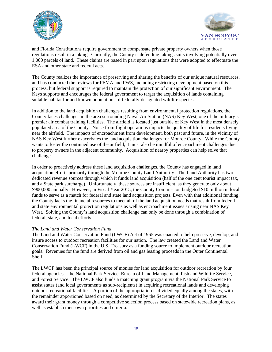



and Florida Constitutions require government to compensate private property owners when those regulations result in a taking. Currently, the County is defending takings suits involving potentially over 1,000 parcels of land. These claims are based in part upon regulations that were adopted to effectuate the ESA and other state and federal acts.

The County realizes the importance of preserving and sharing the benefits of our unique natural resources, and has conducted the reviews for FEMA and FWS, including restricting development based on this process, but federal support is required to maintain the protection of our significant environment. The Keys supports and encourages the federal government to target the acquisition of lands containing suitable habitat for and known populations of federally-designated wildlife species.

In addition to the land acquisition challenges resulting from environmental protection regulations, the County faces challenges in the area surrounding Naval Air Station (NAS) Key West, one of the military's premier air combat training facilities. The airfield is located just outside of Key West in the most densely populated area of the County. Noise from flight operations impacts the quality of life for residents living near the airfield. The impacts of encroachment from development, both past and future, in the vicinity of NAS Key West further exacerbates the land acquisition challenges for Monroe County. While the County wants to foster the continued use of the airfield, it must also be mindful of encroachment challenges due to property owners in the adjacent community. Acquisition of nearby properties can help solve that challenge.

In order to proactively address these land acquisition challenges, the County has engaged in land acquisition efforts primarily through the Monroe County Land Authority. The Land Authority has two dedicated revenue sources through which it funds land acquisition (half of the one cent tourist impact tax, and a State park surcharge). Unfortunately, these sources are insufficient, as they generate only about \$900,000 annually. However, in Fiscal Year 2015, the County Commission budgeted \$10 million in local funds to serve as a match for federal and state land acquisition projects. Even with that additional funding, the County lacks the financial resources to meet all of the land acquisition needs that result from federal and state environmental protection regulations as well as encroachment issues arising near NAS Key West. Solving the County's land acquisition challenge can only be done through a combination of federal, state, and local efforts.

### *The Land and Water Conservation Fund*

The Land and Water Conservation Fund (LWCF) Act of 1965 was enacted to help preserve, develop, and insure access to outdoor recreation facilities for our nation. The law created the Land and Water Conservation Fund (LWCF) in the U.S. Treasury as a funding source to implement outdoor recreation goals. Revenues for the fund are derived from oil and gas leasing proceeds in the Outer Continental Shelf.

The LWCF has been the principal source of monies for land acquisition for outdoor recreation by four federal agencies—the National Park Service, Bureau of Land Management, Fish and Wildlife Service, and Forest Service. The LWCF also funds a matching grant program via the National Park Service to assist states (and local governments as sub-recipients) in acquiring recreational lands and developing outdoor recreational facilities. A portion of the appropriation is divided equally among the states, with the remainder apportioned based on need, as determined by the Secretary of the Interior. The states award their grant money through a competitive selection process based on statewide recreation plans, as well as establish their own priorities and criteria.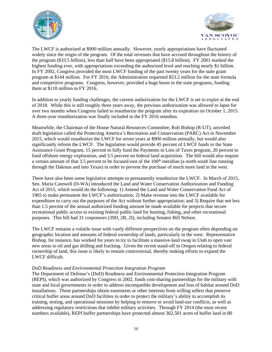



The LWCF is authorized at \$900 million annually. However, yearly appropriations have fluctuated widely since the origin of the program. Of the total revenues that have accrued throughout the history of the program (\$33.5 billion), less than half have been appropriated (\$15.8 billion). FY 2001 marked the highest funding ever, with appropriations exceeding the authorized level and reaching nearly \$1 billion. In FY 2002, Congress provided the most LWCF funding of the past twenty years for the state grant program at \$144 million. For FY 2016, the Administration requested \$53.2 million for the state formula and competitive programs. Congress, however, provided a huge boost to the state programs, funding them at \$110 million in FY 2016.

In addition to yearly funding challenges, the current authorization for the LWCF is set to expire at the end of 2018. While this is still roughly three years away, the previous authorization was allowed to lapse for over two months when Congress failed to reauthorize the program after its expiration on October 1, 2015. A three-year reauthorization was finally included in the FY 2016 omnibus.

Meanwhile, the Chairman of the House Natural Resources Committee, Rob Bishop (R-UT), unveiled draft legislation called the Protecting America's Recreation and Conservation (PARC) Act in November 2015, which would reauthorize the LWCF for seven years at \$900 million annually, but would also significantly reform the LWCF. The legislation would provide 45 percent of LWCF funds to the State Assistance Grant Program, 15 percent to fully fund the Payments in Lieu of Taxes program, 20 percent to fund offshore energy exploration, and 3.5 percent on federal land acquisition. The bill would also require a certain amount of that 3.5 percent to be focused east of the 100<sup>th</sup> meridian (a north-south line running through the Dakotas and into Texas) in order to prevent the purchase of much more land in the west.

There have also been some legislative attempts to permanently reauthorize the LWCF. In March of 2015, Sen. Maria Cantwell (D-WA) introduced the Land and Water Conservation Authorization and Funding Act of 2015, which would do the following: 1) Amend the Land and Water Conservation Fund Act of 1965 to make permanent the LWCF's authorization; 2) Make revenue into the LWCF available for expenditure to carry out the purposes of the Act without further appropriation; and 3) Require that not less than 1.5 percent of the annual authorized funding amount be made available for projects that secure recreational public access to existing federal public land for hunting, fishing, and other recreational purposes. This bill had 31 cosponsors (39D, 2R, 2I), including Senator Bill Nelson.

The LWCF remains a volatile issue with vastly different perspectives on the program often depending on geographic location and amounts of federal ownership of lands, particularly in the west. Representative Bishop, for instance, has worked for years to try to facilitate a massive-land swap in Utah to open vast new areas to oil and gas drilling and fracking. Given the recent stand-off in Oregon relating to federal ownership of land, this issue is likely to remain controversial, thereby making efforts to expand the LWCF difficult.

### *DoD Readiness and Environmental Protection Integration Program*

The Department of Defense's (DoD) Readiness and Environmental Protection Integration Program (REPI), which was authorized by Congress in 2002, funds cost-sharing partnerships for the military with state and local governments in order to address incompatible development and loss of habitat around DoD installations. These partnerships obtain easements or other interests from willing sellers that preserve critical buffer areas around DoD facilities in order to protect the military's ability to accomplish its training, testing, and operational missions by helping to remove or avoid land-use conflicts, as well as addressing regulatory restrictions that inhibit military activities. Through FY 2014 (the most recent numbers available), REPI buffer partnerships have protected almost 362,501 acres of buffer land in 80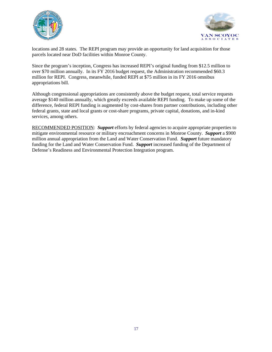



locations and 28 states. The REPI program may provide an opportunity for land acquisition for those parcels located near DoD facilities within Monroe County.

Since the program's inception, Congress has increased REPI's original funding from \$12.5 million to over \$70 million annually. In its FY 2016 budget request, the Administration recommended \$60.3 million for REPI. Congress, meanwhile, funded REPI at \$75 million in its FY 2016 omnibus appropriations bill.

Although congressional appropriations are consistently above the budget request, total service requests average \$140 million annually, which greatly exceeds available REPI funding. To make up some of the difference, federal REPI funding is augmented by cost-shares from partner contributions, including other federal grants, state and local grants or cost-share programs, private capital, donations, and in-kind services, among others.

RECOMMENDED POSITION: *Support* efforts by federal agencies to acquire appropriate properties to mitigate environmental resource or military encroachment concerns in Monroe County. *Support* a \$900 million annual appropriation from the Land and Water Conservation Fund. *Support* future mandatory funding for the Land and Water Conservation Fund. *Support* increased funding of the Department of Defense's Readiness and Environmental Protection Integration program.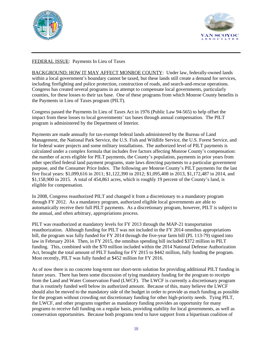



# FEDERAL ISSUE: Payments In Lieu of Taxes

BACKGROUND; HOW IT MAY AFFECT MONROE COUNTY: Under law, federally-owned lands within a local government's boundary cannot be taxed, but these lands still create a demand for services, including firefighting and police protection, construction of roads, and search-and-rescue operations. Congress has created several programs in an attempt to compensate local governments, particularly counties, for these losses to their tax base. One of these programs from which Monroe County benefits is the Payments in Lieu of Taxes program (PILT).

Congress passed the Payments In Lieu of Taxes Act in 1976 (Public Law 94-565) to help offset the impact from these losses to local governments' tax bases through annual compensation. The PILT program is administered by the Department of Interior.

Payments are made annually for tax-exempt federal lands administered by the Bureau of Land Management, the National Park Service, the U.S. Fish and Wildlife Service, the U.S. Forest Service, and for federal water projects and some military installations. The authorized level of PILT payments is calculated under a complex formula that includes five factors affecting Monroe County's compensation: the number of acres eligible for PILT payments, the County's population, payments in prior years from other specified federal land payment programs, state laws directing payments to a particular government purpose, and the Consumer Price Index. The following are Monroe County's PILT payments for the last five fiscal years: \$1,099,616 in 2011; \$1,122,390 in 2012; \$1,095,408 in 2013, \$1,172,487 in 2014, and \$1,158,900 in 2015. A total of 454,861 acres, which is roughly 19 percent of the County's land, is eligible for compensation.

In 2008, Congress reauthorized PILT and changed it from a discretionary to a mandatory program through FY 2012. As a mandatory program, authorized eligible local governments are able to automatically receive their full PILT payments. As a discretionary program, however, PILT is subject to the annual, and often arbitrary, appropriations process.

PILT was reauthorized at mandatory levels for FY 2013 through the MAP-21 transportation reauthorization. Although funding for PILT was not included in the FY 2014 omnibus appropriations bill, the program was fully funded for FY 2014 through the five-year farm bill (PL 113-79) signed into law in February 2014. Then, in FY 2015, the omnibus spending bill included \$372 million in PILT funding. This, combined with the \$70 million included within the 2014 National Defense Authorization Act, brought the total amount of PILT funding for FY 2015 to \$442 million, fully funding the program. Most recently, PILT was fully funded at \$452 million for FY 2016.

As of now there is no concrete long-term nor short-term solution for providing additional PILT funding in future years. There has been some discussion of tying mandatory funding for the program to receipts from the Land and Water Conservation Fund (LWCF). The LWCF is currently a discretionary program that is routinely funded well below its authorized amount. Because of this, many believe the LWCF should also be moved to the mandatory side of the budget in order to provide as much funding as possible for the program without crowding out discretionary funding for other high-priority needs. Tying PILT, the LWCF, and other programs together as mandatory funding provides an opportunity for many programs to receive full funding on a regular basis, providing stability for local governments, as well as conservation opportunities. Because both programs tend to have support from a bipartisan coalition of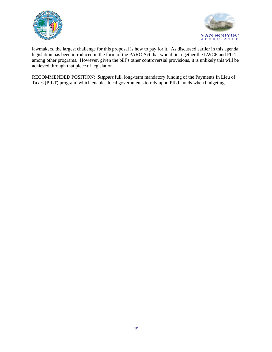



lawmakers, the largest challenge for this proposal is how to pay for it. As discussed earlier in this agenda, legislation has been introduced in the form of the PARC Act that would tie together the LWCF and PILT, among other programs. However, given the bill's other controversial provisions, it is unlikely this will be achieved through that piece of legislation.

RECOMMENDED POSITION: *Support* full, long-term mandatory funding of the Payments In Lieu of Taxes (PILT) program, which enables local governments to rely upon PILT funds when budgeting.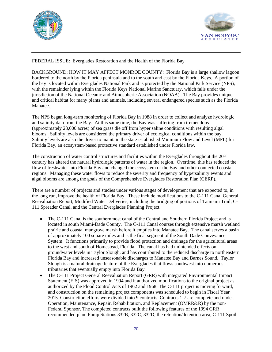



FEDERAL ISSUE: Everglades Restoration and the Health of the Florida Bay

BACKGROUND; HOW IT MAY AFFECT MONROE COUNTY: Florida Bay is a large shallow lagoon bordered to the north by the Florida peninsula and to the south and east by the Florida Keys. A portion of the bay is located within Everglades National Park and is protected by the National Park Service (NPS), with the remainder lying within the Florida Keys National Marine Sanctuary, which falls under the jurisdiction of the National Oceanic and Atmospheric Association (NOAA). The Bay provides unique and critical habitat for many plants and animals, including several endangered species such as the Florida Manatee.

The NPS began long-term monitoring of Florida Bay in 1988 in order to collect and analyze hydrologic and salinity data from the Bay. At this same time, the Bay was suffering from tremendous (approximately 23,000 acres) of sea grass die off from hyper saline conditions with resulting algal blooms. Salinity levels are considered the primary driver of ecological conditions within the bay. Salinity levels are also the driver to maintain the state-established Minimum Flow and Level (MFL) for Florida Bay, an ecosystem-based protective standard established under Florida law.

The construction of water control structures and facilities within the Everglades throughout the 20<sup>th</sup> century has altered the natural hydrologic patterns of water in the region. Overtime, this has reduced the flow of freshwater into Florida Bay and changed the ecosystem of the Bay and other connected coastal regions. Managing these water flows to reduce the severity and frequency of hypersalinity events and algal blooms are among the goals of the Comprehensive Everglades Restoration Plan (CERP).

There are a number of projects and studies under various stages of development that are expected to, in the long run, improve the health of Florida Bay. These include modifications to the C-111 Canal General Reevaluation Report, Modified Water Deliveries, including the bridging of portions of Tamiami Trail, C-111 Spreader Canal, and the Central Everglades Planning Project.

- The C-111 Canal is the southernmost canal of the Central and Southern Florida Project and is located in south Miami-Dade County. The C-111 Canal courses through extensive marsh wetland prairie and coastal mangrove marsh before it empties into Manatee Bay. The canal serves a basin of approximately 100 square miles and is the final segment of the South Dade Conveyance System. It functions primarily to provide flood protection and drainage for the agricultural areas to the west and south of Homestead, Florida. The canal has had unintended effects on groundwater levels in Taylor Slough, and has contributed to the reduced discharge to northeastern Florida Bay and increased unseasonable discharges to Manatee Bay and Barnes Sound. Taylor Slough is a natural drainage feature of the Everglades that flows southwest into numerous tributaries that eventually empty into Florida Bay.
- The C-111 Project General Reevaluation Report (GRR) with integrated Environmental Impact Statement (EIS) was approved in 1994 and it authorized modifications to the original project as authorized by the Flood Control Acts of 1962 and 1968. The C-111 project is moving forward, and construction on the remaining project components was scheduled to begin in Fiscal Year 2015. Construction efforts were divided into 9 contracts. Contracts 1-7 are complete and under Operation, Maintenance, Repair, Rehabilitation, and Replacement (OMRR&R) by the non-Federal Sponsor. The completed contracts built the following features of the 1994 GRR recommended plan: Pump Stations 332B, 332C, 332D, the retention/detention area, C-111 Spoil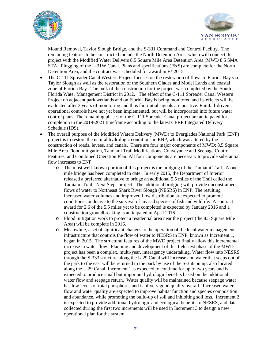



Mound Removal, Taylor Slough Bridge, and the S-331 Command and Control Facility. The remaining features to be constructed include the North Detention Area, which will connect this project with the Modified Water Delivers 8.5 Square Mile Area Detention Area (MWD 8.5 SMA STA. Plugging of the L-31W Canal. Plans and specifications (P&S) are complete for the North Detention Area, and the contract was scheduled for award in FY2015.

- The C-111 Spreader Canal Western Project focuses on the restoration of flows to Florida Bay via Taylor Slough as well as the restoration of the Southern Glades and Model Lands and coastal zone of Florida Bay. The bulk of the construction for the project was completed by the South Florida Water Management District in 2012. The effect of the C-111 Spreader Canal Western Project on adjacent park wetlands and on Florida Bay is being monitored and its effects will be evaluated after 3 years of monitoring and thus far, initial signals are positive. Rainfall-driven operational controls have not yet been implemented, but will be incorporated into future water control plans. The remaining phases of the C-111 Spreader Canal project are anticipated for completion in the 2019-2021 timeframe according to the latest CERP Integrated Delivery Schedule (IDS).
- The overall purpose of the Modified Waters Delivery (MWD) to Everglades National Park (ENP) project is to restore the natural hydrologic conditions in ENP, which was altered by the construction of roads, levees, and canals. There are four major components of MWD: 8.5 Square Mile Area Flood mitigation, Tamiami Trail Modifications, Conveyance and Seepage Control Features, and Combined Operation Plan. All four components are necessary to provide substantial flow increases to ENP.
	- o The most well-known portion of this project is the bridging of the Tamiami Trail. A one mile bridge has been completed to date. In early 2015, the Department of Interior released a preferred alternative to bridge an additional 5.5 miles of the Trail called the Tamiami Trail: Next Steps project. The additional bridging will provide unconstrained flows of water to Northeast Shark River Slough (NESRS) in ENP. The resulting increased water volumes and improved flow distribution are expected to promote conditions conducive to the survival of myriad species of fish and wildlife. A contract award for 2.6 of the 5.5 miles yet to be completed is expected by January 2016 and a construction groundbreaking is anticipated in April 2016.
	- o Flood mitigation work to protect a residential area near the project (the 8.5 Square Mile Area) will be complete in 2016.
	- o Meanwhile, a set of significant changes to the operation of the local water management infrastructure that controls the flow of water to NESRS in ENP, known as Increment 1, began in 2015. The structural features of the MWD project finally allow this incremental increase in water flow. Planning and development of this field-test phase of the MWD project has been a complex, multi-year, interagency undertaking. Water flow into NESRS through the S-333 structure along the L-29 Canal will increase and water that seeps out of the park to the east will be returned to the park by use of the S-356 pump, also located along the L-29 Canal. Increment 1 is expected to continue for up to two years and is expected to produce small but important hydrologic benefits based on the additional water flow and seepage return. Water quality will be maintained because seepage water has low levels of total phosphorus and is of very good quality overall. Increased water flow and water quality are expected to improve habitat function and species composition and abundance, while promoting the build-up of soil and inhibiting soil loss. Increment 2 is expected to provide additional hydrologic and ecological benefits to NESRS, and data collected during the first two increments will be used in Increment 3 to design a new operational plan for the system.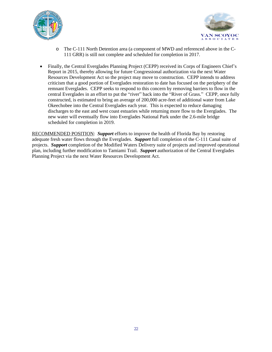



- o The C-111 North Detention area (a component of MWD and referenced above in the C-111 GRR) is still not complete and scheduled for completion in 2017.
- Finally, the Central Everglades Planning Project (CEPP) received its Corps of Engineers Chief's Report in 2015, thereby allowing for future Congressional authorization via the next Water Resources Development Act so the project may move to construction. CEPP intends to address criticism that a good portion of Everglades restoration to date has focused on the periphery of the remnant Everglades. CEPP seeks to respond to this concern by removing barriers to flow in the central Everglades in an effort to put the "river" back into the "River of Grass." CEPP, once fully constructed, is estimated to bring an average of 200,000 acre-feet of additional water from Lake Okeechobee into the Central Everglades each year. This is expected to reduce damaging discharges to the east and west coast estuaries while returning more flow to the Everglades. The new water will eventually flow into Everglades National Park under the 2.6-mile bridge scheduled for completion in 2019.

RECOMMENDED POSITION: *Support* efforts to improve the health of Florida Bay by restoring adequate fresh water flows through the Everglades. *Support* full completion of the C-111 Canal suite of projects. *Support* completion of the Modified Waters Delivery suite of projects and improved operational plan, including further modification to Tamiami Trail. *Support* authorization of the Central Everglades Planning Project via the next Water Resources Development Act.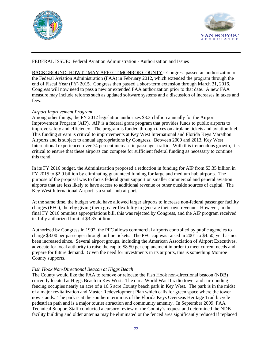



# FEDERAL ISSUE: Federal Aviation Administration - Authorization and Issues

BACKGROUND; HOW IT MAY AFFECT MONROE COUNTY: Congress passed an authorization of the Federal Aviation Administration (FAA) in February 2012, which extended the program through the end of Fiscal Year (FY) 2015. Congress then passed a short-term extension through March 31, 2016. Congress will now need to pass a new or extended FAA authorization prior to that date. A new FAA measure may include reforms such as updated software systems and a discussion of increases in taxes and fees.

### *Airport Improvement Program*

Among other things, the FY 2012 legislation authorizes \$3.35 billion annually for the Airport Improvement Program (AIP). AIP is a federal grant program that provides funds to public airports to improve safety and efficiency. The program is funded through taxes on airplane tickets and aviation fuel. This funding stream is critical to improvements at Key West International and Florida Keys Marathon Airports and is subject to annual appropriations by Congress. Between 2009 and 2013, Key West International experienced over 74 percent increase in passenger traffic. With this tremendous growth, it is critical to ensure that these airports can compete for sufficient federal funding as necessary to continue this trend.

In its FY 2016 budget, the Administration proposed a reduction in funding for AIP from \$3.35 billion in FY 2015 to \$2.9 billion by eliminating guaranteed funding for large and medium hub airports. The purpose of the proposal was to focus federal grant support on smaller commercial and general aviation airports that are less likely to have access to additional revenue or other outside sources of capital. The Key West International Airport is a small-hub airport.

At the same time, the budget would have allowed larger airports to increase non-federal passenger facility charges (PFC), thereby giving them greater flexibility to generate their own revenue. However, in the final FY 2016 omnibus appropriations bill, this was rejected by Congress, and the AIP program received its fully authorized limit at \$3.35 billion.

Authorized by Congress in 1992, the PFC allows commercial airports controlled by public agencies to charge \$3.00 per passenger through airline tickets. The PFC cap was raised in 2001 to \$4.50, yet has not been increased since. Several airport groups, including the American Association of Airport Executives, advocate for local authority to raise the cap to \$8.50 per enplanement in order to meet current needs and prepare for future demand. Given the need for investments in its airports, this is something Monroe County supports.

### *Fish Hook Non-Directional Beacon at Higgs Beach*

The County would like the FAA to remove or relocate the Fish Hook non-directional beacon (NDB) currently located at Higgs Beach in Key West. The circa World War II radio tower and surrounding fencing occupies nearly an acre of a 16.5 acre County beach park in Key West. The park is in the midst of a major revitalization and Master Redevelopment Plan which calls for green space where the tower now stands. The park is at the southern terminus of the Florida Keys Overseas Heritage Trail bicycle pedestrian path and is a major tourist attraction and community amenity. In September 2009, FAA Technical Support Staff conducted a cursory review of the County's request and determined the NDB facility building and older antenna may be eliminated or the fenced area significantly reduced if replaced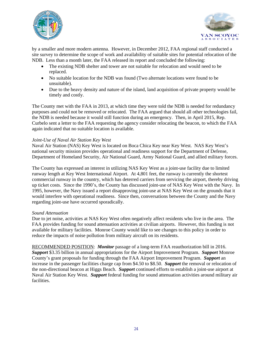



by a smaller and more modern antenna. However, in December 2012, FAA regional staff conducted a site survey to determine the scope of work and availability of suitable sites for potential relocation of the NDB. Less than a month later, the FAA released its report and concluded the following:

- The existing NDB shelter and tower are not suitable for relocation and would need to be replaced.
- No suitable location for the NDB was found (Two alternate locations were found to be unsuitable).
- Due to the heavy density and nature of the island, land acquisition of private property would be timely and costly.

The County met with the FAA in 2013, at which time they were told the NDB is needed for redundancy purposes and could not be removed or relocated. The FAA argued that should all other technologies fail, the NDB is needed because it would still function during an emergency. Then, in April 2015, Rep. Curbelo sent a letter to the FAA requesting the agency consider relocating the beacon, to which the FAA again indicated that no suitable location is available.

### *Joint-Use of Naval Air Station Key West*

Naval Air Station (NAS) Key West is located on Boca Chica Key near Key West. NAS Key West's national security mission provides operational and readiness support for the Department of Defense, Department of Homeland Security, Air National Guard, Army National Guard, and allied military forces.

The County has expressed an interest in utilizing NAS Key West as a joint-use facility due to limited runway length at Key West International Airport. At 4,801 feet, the runway is currently the shortest commercial runway in the country, which has deterred carriers from servicing the airport, thereby driving up ticket costs. Since the 1990's, the County has discussed joint-use of NAS Key West with the Navy. In 1995, however, the Navy issued a report disapproving joint-use at NAS Key West on the grounds that it would interfere with operational readiness. Since then, conversations between the County and the Navy regarding joint-use have occurred sporadically.

### *Sound Attenuation*

Due to jet noise, activities at NAS Key West often negatively affect residents who live in the area. The FAA provides funding for sound attenuation activities at civilian airports. However, this funding is not available for military facilities. Monroe County would like to see changes to this policy in order to reduce the impacts of noise pollution from military aircraft on its residents.

RECOMMENDED POSITION: *Monitor* passage of a long-term FAA reauthorization bill in 2016. *Support* \$3.35 billion in annual appropriations for the Airport Improvement Program. *Support* Monroe County's grant proposals for funding through the FAA Airport Improvement Program. *Support* an increase in the passenger facilities charge cap from \$4.50 to \$8.50. *Support* the removal or relocation of the non-directional beacon at Higgs Beach. *Support* continued efforts to establish a joint-use airport at Naval Air Station Key West. *Support* federal funding for sound attenuation activities around military air facilities.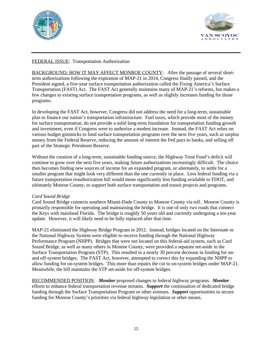



# FEDERAL ISSUE: Transportation Authorization

BACKGROUND; HOW IT MAY AFFECT MONROE COUNTY: After the passage of several shortterm authorizations following the expiration of MAP-21 in 2014, Congress finally passed, and the President signed, a five-year surface transportation authorization called the Fixing America's Surface Transportation (FAST) Act. The FAST Act generally maintains many of MAP-21's reforms, but makes a few changes to existing surface transportation programs, as well as slightly increases funding for those programs.

In developing the FAST Act, however, Congress did not address the need for a long-term, sustainable plan to finance our nation's transportation infrastructure. Fuel taxes, which provide most of the money for surface transportation, do not provide a solid long-term foundation for transportation funding growth and investment, even if Congress were to authorize a modest increase. Instead, the FAST Act relies on various budget gimmicks to fund surface transportation programs over the next five years, such as surplus money from the Federal Reserve, reducing the amount of interest the Fed pays to banks, and selling off part of the Strategic Petroleum Reserve.

Without the creation of a long-term, sustainable funding source, the Highway Trust Fund's deficit will continue to grow over the next five years, making future authorizations increasingly difficult. The choice then becomes finding new sources of income for an expanded program, or alternately, to settle for a smaller program that might look very different than the one currently in place. Less federal funding via a future transportation reauthorization bill would mean significantly less funding available to FDOT, and ultimately Monroe County, to support both surface transportation and transit projects and programs.

# *Card Sound Bridge*

Card Sound Bridge connects southern Miami-Dade County to Monroe County via toll. Monroe County is primarily responsible for operating and maintaining the bridge. It is one of only two roads that connect the Keys with mainland Florida. The bridge is roughly 50 years old and currently undergoing a ten-year update. However, it will likely need to be fully replaced after that time.

MAP-21 eliminated the Highway Bridge Program in 2012. Instead, bridges located on the Interstate or the National Highway System were eligible to receive funding through the National Highway Performance Program (NHPP). Bridges that were not located on this federal-aid system, such as Card Sound Bridge, as well as many others in Monroe County, were provided a separate set-aside in the Surface Transportation Program (STP). This resulted in a nearly 30 percent decrease in funding for onand off-system bridges. The FAST Act, however, attempted to correct this by expanding the NHPP to allow funding for on-system bridges. This more than repairs the cut to on-system bridges under MAP-21. Meanwhile, the bill maintains the STP set-aside for off-system bridges.

RECOMMENDED POSITION: *Monitor* proposed changes to federal highway programs. *Monitor* efforts to enhance federal transportation revenue streams. *Support* the continuation of dedicated bridge funding through the Surface Transportation Program or other avenues. *Support* opportunities to secure funding for Monroe County's priorities via federal highway legislation or other means.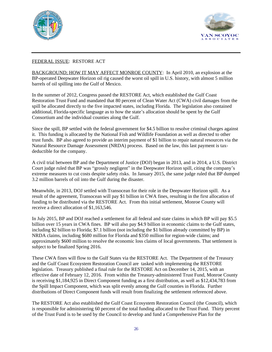



# FEDERAL ISSUE: RESTORE ACT

BACKGROUND; HOW IT MAY AFFECT MONROE COUNTY: In April 2010, an explosion at the BP-operated Deepwater Horizon oil rig caused the worst oil spill in U.S. history, with almost 5 million barrels of oil spilling into the Gulf of Mexico.

In the summer of 2012, Congress passed the RESTORE Act, which established the Gulf Coast Restoration Trust Fund and mandated that 80 percent of Clean Water Act (CWA) civil damages from the spill be allocated directly to the five impacted states, including Florida. The legislation also contained additional, Florida-specific language as to how the state's allocation should be spent by the Gulf Consortium and the individual counties along the Gulf.

Since the spill, BP settled with the federal government for \$4.5 billion to resolve criminal charges against it. This funding is allocated by the National Fish and Wildlife Foundation as well as directed to other trust funds. BP also agreed to provide an interim payment of \$1 billion to repair natural resources via the Natural Resource Damage Assessment (NRDA) process. Based on the law, this last payment is taxdeductible for the company.

A civil trial between BP and the Department of Justice (DOJ) began in 2013, and in 2014, a U.S. District Court judge ruled that BP was "grossly negligent" in the Deepwater Horizon spill, citing the company's extreme measures to cut costs despite safety risks. In January 2015, the same judge ruled that BP dumped 3.2 million barrels of oil into the Gulf during the disaster.

Meanwhile, in 2013, DOJ settled with Transocean for their role in the Deepwater Horizon spill. As a result of the agreement, Transocean will pay \$1 billion in CWA fines, resulting in the first allocation of funding to be distributed via the RESTORE Act. From this initial settlement, Monroe County will receive a direct allocation of \$1,163,546.

In July 2015, BP and DOJ reached a settlement for all federal and state claims in which BP will pay \$5.5 billion over 15 years in CWA fines. BP will also pay \$4.9 billion in economic claims to the Gulf states, including \$2 billion to Florida; \$7.1 billion (not including the \$1 billion already committed by BP) in NRDA claims, including \$680 million for Florida and \$350 million for region-wide claims; and approximately \$600 million to resolve the economic loss claims of local governments. That settlement is subject to be finalized Spring 2016.

These CWA fines will flow to the Gulf States via the RESTORE Act. The Department of the Treasury and the Gulf Coast Ecosystem Restoration Council are tasked with implementing the RESTORE legislation. Treasury published a final rule for the RESTORE Act on December 14, 2015, with an effective date of February 12, 2016. From within the Treasury-administered Trust Fund, Monroe County is receiving \$1,184,925 in Direct Component funding as a first distribution, as well as \$12,434,783 from the Spill Impact Component, which was split evenly among the Gulf counties in Florida. Further distributions of Direct Component funds will result from finalizing the settlement referenced above.

The RESTORE Act also established the Gulf Coast Ecosystem Restoration Council (the Council), which is responsible for administering 60 percent of the total funding allocated to the Trust Fund. Thirty percent of the Trust Fund is to be used by the Council to develop and fund a Comprehensive Plan for the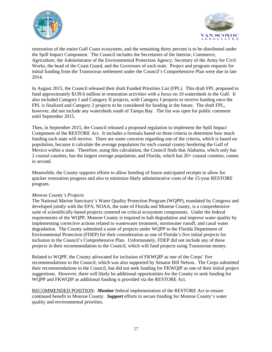



restoration of the entire Gulf Coast ecosystem, and the remaining thirty percent is to be distributed under the Spill Impact Component. The Council includes the Secretaries of the Interior, Commerce, Agriculture, the Administrator of the Environmental Protection Agency, Secretary of the Army for Civil Works, the head of the Coast Guard, and the Governors of each state. Project and program requests for initial funding from the Transocean settlement under the Council's Comprehensive Plan were due in late 2014.

In August 2015, the Council released their draft Funded Priorities List (FPL). This draft FPL proposed to fund approximately \$139.6 million in restoration activities with a focus on 10 watersheds in the Gulf. It also included Category I and Category II projects, with Category I projects to receive funding once the FPL is finalized and Category 2 projects to be considered for funding in the future. The draft FPL, however, did not include any watersheds south of Tampa Bay. The list was open for public comment until September 2015.

Then, in September 2015, the Council released a proposed regulation to implement the Spill Impact Component of the RESTORE Act. It includes a formula based on three criteria to determine how much funding each state will receive. There are some concerns regarding one of the criteria, which is based on population, because it calculate the average population for each coastal county bordering the Gulf of Mexico within a state. Therefore, using this calculation, the Council finds that Alabama, which only has 2 coastal counties, has the largest average population, and Florida, which has 20+ coastal counties, comes in second.

Meanwhile, the County supports efforts to allow bonding of future anticipated receipts to allow for quicker restoration progress and also to minimize likely administrative costs of the 15-year RESTORE program.

### *Monroe County's Projects*

The National Marine Sanctuary's Water Quality Protection Program (WQPP), mandated by Congress and developed jointly with the EPA, NOAA, the state of Florida and Monroe County, is a comprehensive suite of scientifically-based projects centered on critical ecosystem components. Under the federal requirements of the WQPP, Monroe County is required to halt degradation and improve water quality by implementing corrective actions related to wastewater treatment, stormwater runoff, and canal water degradation. The County submitted a suite of projects under WQPP to the Florida Department of Environmental Protection (FDEP) for their consideration as one of Florida's five initial projects for inclusion in the Council's Comprehensive Plan. Unfortunately, FDEP did not include any of these projects in their recommendation to the Council, which will fund projects using Transocean money.

Related to WQPP, the County advocated for inclusion of FKWQIP as one of the Corps' five recommendations to the Council, which was also supported by Senator Bill Nelson. The Corps submitted their recommendations to the Council, but did not seek funding for FKWQIP as one of their initial project suggestions. However, there will likely be additional opportunities for the County to seek funding for WQPP and FKWQIP as additional funding is provided via the RESTORE Act.

RECOMMENDED POSITION: *Monitor* federal implementation of the RESTORE Act to ensure continued benefit to Monroe County. *Support* efforts to secure funding for Monroe County's water quality and environmental priorities.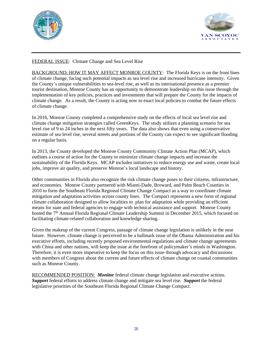



# FEDERAL ISSUE: Climate Change and Sea Level Rise

BACKGROUND; HOW IT MAY AFFECT MONROE COUNTY: The Florida Keys is on the front lines of climate change, facing such potential impacts as sea level rise and increased hurricane intensity. Given the County's unique vulnerabilities to sea-level rise, as well as its international presence as a premier tourist destination, Monroe County has an opportunity to demonstrate leadership on this issue through the implementation of key policies, practices and investments that will prepare the County for the impacts of climate change. As a result, the County is acting now to enact local policies to combat the future effects of climate change.

In 2016, Monroe County completed a comprehensive study on the effects of local sea level rise and climate change mitigation strategies called GreenKeys. The study utilizes a planning scenario for sea level rise of 9 to 24 inches in the next fifty years. The data also shows that even using a conservative estimate of sea level rise, several streets and portions of the County can expect to see significant flooding on a regular basis.

In 2013, the County developed the Monroe County Community Climate Action Plan (MCAP), which outlines a course of action for the County to minimize climate change impacts and increase the sustainability of the Florida Keys. MCAP includes initiatives to reduce energy use and waste, create local jobs, improve air quality, and preserve Monroe's local landscape and history.

Other communities in Florida also recognize the risk climate change poses to their citizens, infrastructure, and economies. Monroe County partnered with Miami-Dade, Broward, and Palm Beach Counties in 2010 to form the Southeast Florida Regional Climate Change Compact as a way to coordinate climate mitigation and adaptation activities across county lines. The Compact represents a new form of regional climate collaboration designed to allow localities to plan for adaptation while providing an efficient means for state and federal agencies to engage with technical assistance and support. Monroe County hosted the 7<sup>th</sup> Annual Florida Regional Climate Leadership Summit in December 2015, which focused on facilitating climate-related collaboration and knowledge sharing.

Given the makeup of the current Congress, passage of climate change legislation is unlikely in the near future. However, climate change is perceived to be a hallmark issue of the Obama Administration and his executive efforts, including recently proposed environmental regulations and climate change agreements with China and other nations, will keep the issue at the forefront of policymaker's minds in Washington. Therefore, it is even more imperative to keep the focus on this issue through advocacy and discussions with members of Congress about the current and future effects of climate change on coastal communities such as Monroe County.

RECOMMENDED POSITION: *Monitor* federal climate change legislation and executive actions. *Support* federal efforts to address climate change and mitigate sea level rise. *Support* the federal legislative priorities of the Southeast Florida Regional Climate Change Compact.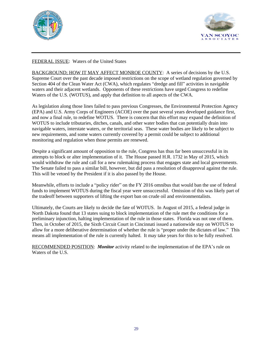



# FEDERAL ISSUE: Waters of the United States

BACKGROUND; HOW IT MAY AFFECT MONROE COUNTY: A series of decisions by the U.S. Supreme Court over the past decade imposed restrictions on the scope of wetland regulation governed by Section 404 of the Clean Water Act (CWA), which regulates "dredge and fill" activities in navigable waters and their adjacent wetlands. Opponents of these restrictions have urged Congress to redefine Waters of the U.S. (WOTUS), and apply that definition to all aspects of the CWA.

As legislation along those lines failed to pass previous Congresses, the Environmental Protection Agency (EPA) and U.S. Army Corps of Engineers (ACOE) over the past several years developed guidance first, and now a final rule, to redefine WOTUS. There is concern that this effort may expand the definition of WOTUS to include tributaries, ditches, canals, and other water bodies that can potentially drain into navigable waters, interstate waters, or the territorial seas. These water bodies are likely to be subject to new requirements, and some waters currently covered by a permit could be subject to additional monitoring and regulation when those permits are renewed.

Despite a significant amount of opposition to the rule, Congress has thus far been unsuccessful in its attempts to block or alter implementation of it. The House passed H.R. 1732 in May of 2015, which would withdraw the rule and call for a new rulemaking process that engages state and local governments. The Senate failed to pass a similar bill, however, but did pass a resolution of disapproval against the rule. This will be vetoed by the President if it is also passed by the House.

Meanwhile, efforts to include a "policy rider" on the FY 2016 omnibus that would ban the use of federal funds to implement WOTUS during the fiscal year were unsuccessful. Omission of this was likely part of the tradeoff between supporters of lifting the export ban on crude oil and environmentalists.

Ultimately, the Courts are likely to decide the fate of WOTUS. In August of 2015, a federal judge in North Dakota found that 13 states suing to block implementation of the rule met the conditions for a preliminary injunction, halting implementation of the rule in those states. Florida was not one of them. Then, in October of 2015, the Sixth Circuit Court in Cincinnati issued a nationwide stay on WOTUS to allow for a more deliberative determination of whether the rule is "proper under the dictates of law." This means all implementation of the rule is currently halted. It may take years for this to be fully resolved.

RECOMMENDED POSITION: *Monitor* activity related to the implementation of the EPA's rule on Waters of the U.S.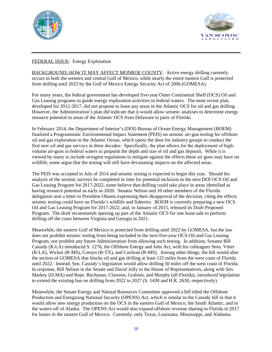



# FEDERAL ISSUE: Energy Exploration

BACKGROUND; HOW IT MAY AFFECT MONROE COUNTY: Active energy drilling currently occurs in both the western and central Gulf of Mexico, while nearly the entire eastern Gulf is protected from drilling until 2022 by the Gulf of Mexico Energy Security Act of 2006 (GOMESA).

For many years, the federal government has developed five-year Outer Continental Shelf (OCS) Oil and Gas Leasing programs to guide energy exploration activities in federal waters. The most recent plan, developed for 2012-2017, did not propose to lease any areas in the Atlantic OCS for oil and gas drilling. However, the Administration's plan did indicate that it would allow seismic analyses to determine energy resource potential in areas of the Atlantic OCS from Delaware to parts of Florida.

In February 2014, the Department of Interior's (DOI) Bureau of Ocean Energy Management (BOEM) finalized a Programmatic Environmental Impact Statement (PEIS) on seismic air-gun testing for offshore oil and gas exploration in the Atlantic Ocean, which opens the door for industry groups to conduct the first new oil and gas surveys in three decades. Specifically, the plan allows for the deployment of highvolume air-guns in federal waters to pinpoint the depth and size of oil and gas deposits. While it is viewed by many to include stringent regulations to mitigate against the effects these air guns may have on wildlife, some argue that the testing will still have devastating impacts on the affected areas.

The PEIS was accepted in July of 2014 and seismic testing is expected to begin this year. Should the analysis of the seismic surveys be completed in time for potential inclusion in the next DOI OCS Oil and Gas Leasing Program for 2017-2022, some believe that drilling could take place in areas identified as having resource potential as early as 2020. Senator Nelson and 10 other members of the Florida delegation sent a letter to President Obama expressing their disapproval of the decision, citing the effects seismic testing could have on Florida's wildlife and fisheries. BOEM is currently preparing a new OCS Oil and Gas Leasing Program for 2017-2022; and, in January of 2015, released its Draft Proposed Program. The draft recommends opening up part of the Atlantic OCS for one lease sale to perform drilling off the coast between Virginia and Georgia in 2021.

Meanwhile, the eastern Gulf of Mexico is protected from drilling until 2022 by GOMESA, but the law does not prohibit seismic testing from being included in the next five-year OCS Oil and Gas Leasing Program, nor prohibit any future Administration from allowing such testing. In addition, Senator Bill Cassidy (R-LA) introduced S. 1276, the Offshore Energy and Jobs Act, with his colleagues Sens. Vitter (R-LA), Wicker (R-MS), Cornyn (R-TX), and Cochran (R-MS). Among other things, the bill would alter the section of GOMESA that blocks oil and gas drilling at least 125 miles from the west coast of Florida until 2022. Instead, Sen. Cassidy's legislation would allow drilling 50 miles off the west coast of Florida. In response, Bill Nelson in the Senate and David Jolly in the House of Representatives, along with Sen. Markey (D-MA) and Reps. Buchanan, Clawson, Graham, and Murphy (all Florida), introduced legislation to extend the existing ban on drilling from 2022 to 2027 (S. 1430 and H.R. 2630, respectively).

Meanwhile, the Senate Energy and Natural Resources Committee approved a bill titled the Offshore Production and Energizing National Security (OPENS) Act, which is similar to the Cassidy bill in that it would allow new energy production on the OCS in the eastern Gulf of Mexico, the South Atlantic, and in the waters off of Alaska. The OPENS Act would also expand offshore revenue sharing to Florida in 2017 for leases in the eastern Gulf of Mexico. Currently, only Texas, Louisiana, Mississippi, and Alabama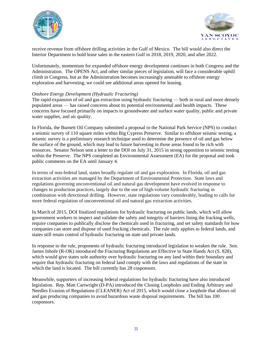



receive revenue from offshore drilling activities in the Gulf of Mexico. The bill would also direct the Interior Department to hold lease sales in the eastern Gulf in 2018, 2019, 2020, and after 2022.

Unfortunately, momentum for expanded offshore energy development continues in both Congress and the Administration. The OPENS Act, and other similar pieces of legislation, will face a considerable uphill climb in Congress, but as the Administration becomes increasingly amenable to offshore energy exploration and harvesting, we could see additional areas opened for leasing.

### *Onshore Energy Development (Hydraulic Fracturing)*

The rapid expansion of oil and gas extraction using hydraulic fracturing — both in rural and more densely populated areas — has raised concerns about its potential environmental and health impacts. These concerns have focused primarily on impacts to groundwater and surface water quality, public and private water supplies, and air quality.

In Florida, the Burnett Oil Company submitted a proposal to the National Park Service (NPS) to conduct a seismic survey of 110 square miles within Big Cypress Preserve. Similar to offshore seismic testing, a seismic survey is a preliminary research technique used to determine the presence of oil and gas below the surface of the ground, which may lead to future harvesting in those areas found to be rich with resources. Senator Nelson sent a letter to the DOI on July 31, 2015 in strong opposition to seismic testing within the Preserve. The NPS completed an Environmental Assessment (EA) for the proposal and took public comments on the EA until January 4.

In terms of non-federal land, states broadly regulate oil and gas exploration. In Florida, oil and gas extraction activities are managed by the Department of Environmental Protection. State laws and regulations governing unconventional oil and natural gas development have evolved in response to changes in production practices, largely due to the use of high-volume hydraulic fracturing in combination with directional drilling. However, state regulations vary considerably, leading to calls for more federal regulation of unconventional oil and natural gas extraction activities.

In March of 2015, DOI finalized regulations for hydraulic fracturing on public lands, which will allow government workers to inspect and validate the safety and integrity of barriers lining the fracking wells, require companies to publically disclose the chemicals used in fracturing, and set safety standards for how companies can store and dispose of used fracking chemicals. The rule only applies to federal lands, and states still retain control of hydraulic fracturing on state and private lands.

In response to the rule, proponents of hydraulic fracturing introduced legislation to weaken the rule. Sen. James Inhofe (R-OK) introduced the Fracturing Regulations are Effective in State Hands Act (S. 828), which would give states sole authority over hydraulic fracturing on any land within their boundary and require that hydraulic fracturing on federal land comply with the laws and regulations of the state in which the land is located. The bill currently has 28 cosponsors.

Meanwhile, supporters of increasing federal regulations for hydraulic fracturing have also introduced legislation. Rep. Matt Cartwright (D-PA) introduced the Closing Loopholes and Ending Arbitrary and Needles Evasion of Regulations (CLEANER) Act of 2015, which would close a loophole that allows oil and gas producing companies to avoid hazardous waste disposal requirements. The bill has 100 cosponsors.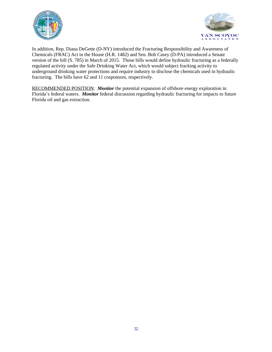



In addition, Rep. Diana DeGette (D-NY) introduced the Fracturing Responsibility and Awareness of Chemicals (FRAC) Act in the House (H.R. 1482) and Sen. Bob Casey (D-PA) introduced a Senate version of the bill (S. 785) in March of 2015. Those bills would define hydraulic fracturing as a federally regulated activity under the Safe Drinking Water Act, which would subject fracking activity to underground drinking water protections and require industry to disclose the chemicals used in hydraulic fracturing. The bills have 62 and 11 cosponsors, respectively.

RECOMMENDED POSITION: *Monitor* the potential expansion of offshore energy exploration in Florida's federal waters. *Monitor* federal discussion regarding hydraulic fracturing for impacts to future Florida oil and gas extraction.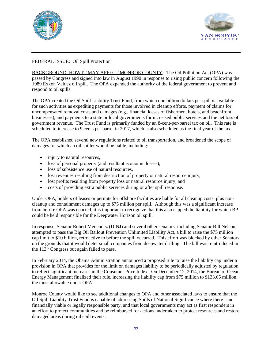



# FEDERAL ISSUE: Oil Spill Protection

BACKGROUND; HOW IT MAY AFFECT MONROE COUNTY: The Oil Pollution Act (OPA) was passed by Congress and signed into law in August 1990 in response to rising public concern following the 1989 Exxon Valdez oil spill. The OPA expanded the authority of the federal government to prevent and respond to oil spills.

The OPA created the Oil Spill Liability Trust Fund, from which one billion dollars per spill is available for such activities as expediting payments for those involved in cleanup efforts, payment of claims for uncompensated removal costs and damages (e.g., financial losses of fishermen, hotels, and beachfront businesses), and payments to a state or local governments for increased public services and the net loss of government revenue. The Trust Fund is primarily funded by an 8-cent-per-barrel tax on oil. This rate is scheduled to increase to 9 cents per barrel in 2017, which is also scheduled as the final year of the tax.

The OPA established several new regulations related to oil transportation, and broadened the scope of damages for which an oil spiller would be liable, including:

- injury to natural resources,
- loss of personal property (and resultant economic losses),
- loss of subsistence use of natural resources.
- lost revenues resulting from destruction of property or natural resource injury,
- lost profits resulting from property loss or natural resource injury, and
- costs of providing extra public services during or after spill response.

Under OPA, holders of leases or permits for offshore facilities are liable for all cleanup costs, plus noncleanup and containment damages up to \$75 million per spill. Although this was a significant increase from before OPA was enacted, it is important to recognize that this also capped the liability for which BP could be held responsible for the Deepwater Horizon oil spill.

In response, Senator Robert Menendez (D-NJ) and several other senators, including Senator Bill Nelson, attempted to pass the Big Oil Bailout Prevention Unlimited Liability Act, a bill to raise the \$75 million cap limit to \$10 billion, retroactive to before the spill occurred. This effort was blocked by other Senators on the grounds that it would deter small companies from deepwater drilling. The bill was reintroduced in the 113th Congress but again failed to pass.

In February 2014, the Obama Administration announced a proposed rule to raise the liability cap under a provision in OPA that provides for the limit on damages liability to be periodically adjusted by regulation to reflect significant increases in the Consumer Price Index. On December 12, 2014, the Bureau of Ocean Energy Management finalized their rule, increasing the liability cap from \$75 million to \$133.65 million, the most allowable under OPA.

Monroe County would like to see additional changes to OPA and other associated laws to ensure that the Oil Spill Liability Trust Fund is capable of addressing Spills of National Significance where there is no financially viable or legally responsible party, and that local governments may act as first responders in an effort to protect communities and be reimbursed for actions undertaken to protect resources and restore damaged areas during oil spill events.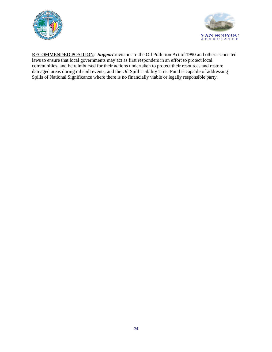



RECOMMENDED POSITION: *Support* revisions to the Oil Pollution Act of 1990 and other associated laws to ensure that local governments may act as first responders in an effort to protect local communities, and be reimbursed for their actions undertaken to protect their resources and restore damaged areas during oil spill events, and the Oil Spill Liability Trust Fund is capable of addressing Spills of National Significance where there is no financially viable or legally responsible party.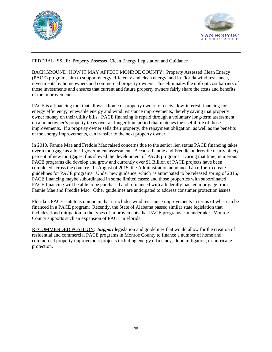



# FEDERAL ISSUE: Property Assessed Clean Energy Legislation and Guidance

BACKGROUND; HOW IT MAY AFFECT MONROE COUNTY: Property Assessed Clean Energy (PACE) programs aim to support energy efficiency and clean energy, and in Florida wind resistance, investments by homeowners and commercial property owners. This eliminates the upfront cost barriers of those investments and ensures that current and future property owners fairly share the costs and benefits of the improvements.

PACE is a financing tool that allows a home or property owner to receive low-interest financing for energy efficiency, renewable energy and wind resistance improvements, thereby saving that property owner money on their utility bills. PACE financing is repaid through a voluntary long-term assessment on a homeowner's property taxes over a longer time period that matches the useful life of those improvements. If a property owner sells their property, the repayment obligation, as well as the benefits of the energy improvements, can transfer to the next property owner.

In 2010, Fannie Mae and Freddie Mac raised concerns due to the senior lien status PACE financing takes over a mortgage as a local government assessment. Because Fannie and Freddie underwrite nearly ninety percent of new mortgages, this slowed the development of PACE programs. During that time, numerous PACE programs did develop and grow and currently over \$1 Billion of PACE projects have been completed across the country. In August of 2015, the Administration announced an effort to create guidelines for PACE programs. Under new guidance, which is anticipated to be released spring of 2016, PACE financing maybe subordinated in some limited cases; and those properties with subordinated PACE financing will be able to be purchased and refinanced with a federally-backed mortgage from Fannie Mae and Freddie Mac. Other guidelines are anticipated to address consumer protection issues.

Florida's PACE statute is unique in that it includes wind resistance improvements in terms of what can be financed in a PACE program. Recently, the State of Alabama passed similar state legislation that includes flood mitigation in the types of improvements that PACE programs can undertake. Monroe County supports such an expansion of PACE in Florida.

RECOMMENDED POSITION: *Support* legislation and guidelines that would allow for the creation of residential and commercial PACE programs in Monroe County to finance a number of home and commercial property improvement projects including energy efficiency, flood mitigation, or hurricane protection.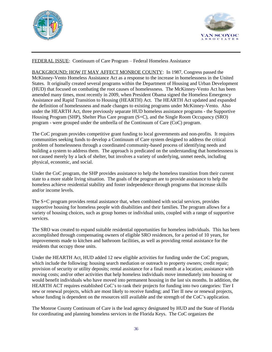



# FEDERAL ISSUE: Continuum of Care Program – Federal Homeless Assistance

BACKGROUND; HOW IT MAY AFFECT MONROE COUNTY: In 1987, Congress passed the McKinney-Vento Homeless Assistance Act as a response to the increase in homelessness in the United States. It originally created several programs within the Department of Housing and Urban Development (HUD) that focused on combating the root causes of homelessness. The McKinney-Vento Act has been amended many times, most recently in 2009, when President Obama signed the Homeless Emergency Assistance and Rapid Transition to Housing (HEARTH) Act. The HEARTH Act updated and expanded the definition of homelessness and made changes to existing programs under McKinney-Vento. Also under the HEARTH Act, three previously separate HUD homeless assistance programs - the Supportive Housing Program (SHP), Shelter Plus Care program (S+C), and the Single Room Occupancy (SRO) program - were grouped under the umbrella of the Continuum of Care (CoC) program.

The CoC program provides competitive grant funding to local governments and non-profits. It requires communities seeking funds to develop a Continuum of Care system designed to address the critical problem of homelessness through a coordinated community-based process of identifying needs and building a system to address them. The approach is predicated on the understanding that homelessness is not caused merely by a lack of shelter, but involves a variety of underlying, unmet needs, including physical, economic, and social.

Under the CoC program, the SHP provides assistance to help the homeless transition from their current state to a more stable living situation. The goals of the program are to provide assistance to help the homeless achieve residential stability and foster independence through programs that increase skills and/or income levels.

The S+C program provides rental assistance that, when combined with social services, provides supportive housing for homeless people with disabilities and their families. The program allows for a variety of housing choices, such as group homes or individual units, coupled with a range of supportive services.

The SRO was created to expand suitable residential opportunities for homeless individuals. This has been accomplished through compensating owners of eligible SRO residences, for a period of 10 years, for improvements made to kitchen and bathroom facilities, as well as providing rental assistance for the residents that occupy those units.

Under the HEARTH Act, HUD added 12 new eligible activities for funding under the CoC program, which include the following: housing search mediation or outreach to property owners; credit repair; provision of security or utility deposits; rental assistance for a final month at a location; assistance with moving costs; and/or other activities that help homeless individuals move immediately into housing or would benefit individuals who have moved into permanent housing in the last six months. In addition, the HEARTH ACT requires established CoC's to rank their projects for funding into two categories: Tier I new or renewal projects, which are most likely to receive funding; and Tier II new or renewal projects, whose funding is dependent on the resources still available and the strength of the CoC's application.

The Monroe County Continuum of Care is the lead agency designated by HUD and the State of Florida for coordinating and planning homeless services in the Florida Keys. The CoC organizes the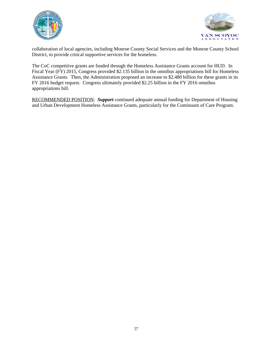



collaboration of local agencies, including Monroe County Social Services and the Monroe County School District, to provide critical supportive services for the homeless.

The CoC competitive grants are funded through the Homeless Assistance Grants account for HUD. In Fiscal Year (FY) 2015, Congress provided \$2.135 billion in the omnibus appropriations bill for Homeless Assistance Grants. Then, the Administration proposed an increase to \$2.480 billion for these grants in its FY 2016 budget request. Congress ultimately provided \$2.25 billion in the FY 2016 omnibus appropriations bill.

RECOMMENDED POSITION: *Support* continued adequate annual funding for Department of Housing and Urban Development Homeless Assistance Grants, particularly for the Continuum of Care Program.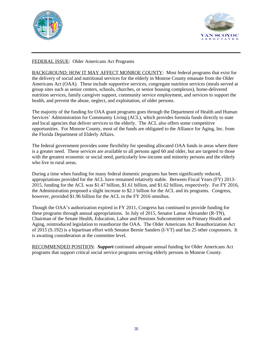



# FEDERAL ISSUE: Older Americans Act Programs

BACKGROUND; HOW IT MAY AFFECT MONROE COUNTY: Most federal programs that exist for the delivery of social and nutritional services for the elderly in Monroe County emanate from the Older Americans Act (OAA). These include supportive services, congregate nutrition services (meals served at group sites such as senior centers, schools, churches, or senior housing complexes), home-delivered nutrition services, family caregiver support, community service employment, and services to support the health, and prevent the abuse, neglect, and exploitation, of older persons.

The majority of the funding for OAA grant programs goes through the Department of Health and Human Services' Administration for Community Living (ACL), which provides formula funds directly to state and local agencies that deliver services to the elderly. The ACL also offers some competitive opportunities. For Monroe County, most of the funds are obligated to the Alliance for Aging, Inc. from the Florida Department of Elderly Affairs.

The federal government provides some flexibility for spending allocated OAA funds in areas where there is a greater need. These services are available to all persons aged 60 and older, but are targeted to those with the greatest economic or social need, particularly low-income and minority persons and the elderly who live in rural areas.

During a time when funding for many federal domestic programs has been significantly reduced, appropriations provided for the ACL have remained relatively stable. Between Fiscal Years (FY) 2013- 2015, funding for the ACL was \$1.47 billion, \$1.61 billion, and \$1.62 billion, respectively. For FY 2016, the Administration proposed a slight increase to \$2.1 billion for the ACL and its programs. Congress, however, provided \$1.96 billion for the ACL in the FY 2016 omnibus.

Though the OAA's authorization expired in FY 2011, Congress has continued to provide funding for these programs through annual appropriations. In July of 2015, Senator Lamar Alexander (R-TN), Chairman of the Senate Health, Education, Labor and Pensions Subcommittee on Primary Health and Aging, reintroduced legislation to reauthorize the OAA. The Older Americans Act Reauthorization Act of 2015 (S.192) is a bipartisan effort with Senator Bernie Sanders (I-VT) and has 25 other cosponsors. It is awaiting consideration at the committee level.

RECOMMENDED POSITION: *Support* continued adequate annual funding for Older Americans Act programs that support critical social service programs serving elderly persons in Monroe County.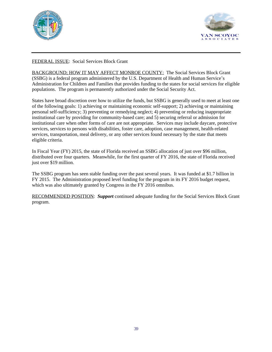



# FEDERAL ISSUE: Social Services Block Grant

BACKGROUND; HOW IT MAY AFFECT MONROE COUNTY: The Social Services Block Grant (SSBG) is a federal program administered by the U.S. Department of Health and Human Service's Administration for Children and Families that provides funding to the states for social services for eligible populations. The program is permanently authorized under the Social Security Act.

States have broad discretion over how to utilize the funds, but SSBG is generally used to meet at least one of the following goals: 1) achieving or maintaining economic self-support; 2) achieving or maintaining personal self-sufficiency; 3) preventing or remedying neglect; 4) preventing or reducing inappropriate institutional care by providing for community-based care; and 5) securing referral or admission for institutional care when other forms of care are not appropriate. Services may include daycare, protective services, services to persons with disabilities, foster care, adoption, case management, health-related services, transportation, meal delivery, or any other services found necessary by the state that meets eligible criteria.

In Fiscal Year (FY) 2015, the state of Florida received an SSBG allocation of just over \$96 million, distributed over four quarters. Meanwhile, for the first quarter of FY 2016, the state of Florida received just over \$19 million.

The SSBG program has seen stable funding over the past several years. It was funded at \$1.7 billion in FY 2015. The Administration proposed level funding for the program in its FY 2016 budget request, which was also ultimately granted by Congress in the FY 2016 omnibus.

RECOMMENDED POSITION: *Support* continued adequate funding for the Social Services Block Grant program.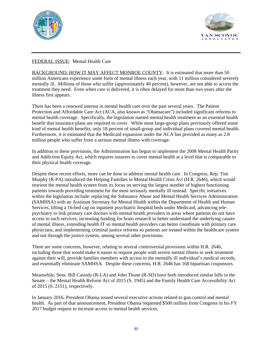



# FEDERAL ISSUE: Mental Health Care

BACKGROUND; HOW IT MAY AFFECT MONROE COUNTY: It is estimated that more than 50 million Americans experience some form of mental illness each year, with 11 million considered severely mentally ill. Millions of those who suffer (approximately 40 percent), however, are not able to access the treatment they need. Even when care is delivered, it is often delayed for more than two years after the illness first appears.

There has been a renewed interest in mental health care over the past several years. The Patient Protection and Affordable Care Act (ACA, also known as "Obamacare") included significant reforms to mental health coverage. Specifically, the legislation named mental health treatment as an essential health benefit that insurance plans are required to cover. While most large-group plans previously offered some kind of mental health benefits, only 18 percent of small-group and individual plans covered mental health. Furthermore, it is estimated that the Medicaid expansion under the ACA has provided as many as 2.8 million people who suffer from a serious mental illness with coverage.

In addition to these provisions, the Administration has begun to implement the 2008 Mental Health Parity and Addiction Equity Act, which requires insurers to cover mental health at a level that is comparable to their physical health coverage.

Despite these recent efforts, more can be done to address mental health care. In Congress, Rep. Tim Murphy (R-PA) introduced the Helping Families in Mental Health Crisis Act (H.R. 2646), which would reorient the mental health system from its focus on serving the largest number of highest functioning patients towards providing treatment for the most seriously mentally ill instead. Specific initiatives within the legislation include: replacing the Substance Abuse and Mental Health Services Administration (SAMHSA) with an Assistant Secretary for Mental Health within the Department of Health and Human Services, lifting a 16-bed cap on inpatient psychiatric hospital beds under Medicaid, advancing telepsychiatry to link primary care doctors with mental health providers in areas where patients do not have access to such services, increasing funding for brain research to better understand the underlying causes of mental illness, extending health IT so mental health providers can better coordinate with primary care physicians, and implementing criminal justice reforms so patients are treated within the healthcare system and not through the justice system, among several other provisions.

There are some concerns, however, relating to several controversial provisions within H.R. 2646, including those that would make it easier to require people with severe mental illness to seek treatment against their will, provide families members with access to the mentally ill individual's medical records, and essentially eliminate SAMHSA. Despite these concerns, H.R. 2646 has 168 bipartisan cosponsors.

Meanwhile, Sens. Bill Cassidy (R-LA) and John Thune (R-SD) have both introduced similar bills in the Senate – the Mental Health Reform Act of 2015 (S. 1945) and the Family Health Care Accessibility Act of 2015 (S. 2151), respectively.

In January 2016, President Obama issued several executive actions related to gun control and mental health. As part of that announcement, President Obama requested \$500 million from Congress in his FY 2017 budget request to increase access to mental health services.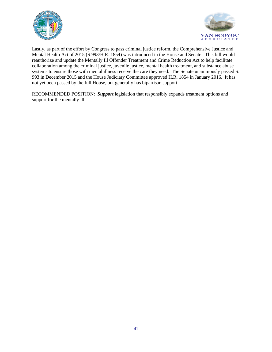



Lastly, as part of the effort by Congress to pass criminal justice reform, the Comprehensive Justice and Mental Health Act of 2015 (S.993/H.R. 1854) was introduced in the House and Senate. This bill would reauthorize and update the Mentally Ill Offender Treatment and Crime Reduction Act to help facilitate collaboration among the criminal justice, juvenile justice, mental health treatment, and substance abuse systems to ensure those with mental illness receive the care they need. The Senate unanimously passed S. 993 in December 2015 and the House Judiciary Committee approved H.R. 1854 in January 2016. It has not yet been passed by the full House, but generally has bipartisan support.

RECOMMENDED POSITION: *Support* legislation that responsibly expands treatment options and support for the mentally ill.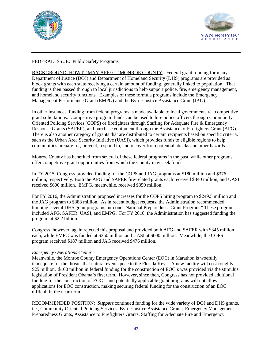



# FEDERAL ISSUE: Public Safety Programs

BACKGROUND; HOW IT MAY AFFECT MONROE COUNTY: Federal grant funding for many Department of Justice (DOJ) and Department of Homeland Security (DHS) programs are provided as block grants with each state receiving a certain amount of funding, generally linked to population. That funding is then passed through to local jurisdictions to help support police, fire, emergency management, and homeland security functions. Examples of these formula programs include the Emergency Management Performance Grant (EMPG) and the Byrne Justice Assistance Grant (JAG).

In other instances, funding from federal programs is made available to local governments via competitive grant solicitations. Competitive program funds can be used to hire police officers through Community Oriented Policing Services (COPS) or firefighters through Staffing for Adequate Fire & Emergency Response Grants (SAFER), and purchase equipment through the Assistance to Firefighters Grant (AFG). There is also another category of grants that are distributed to certain recipients based on specific criteria, such as the Urban Area Security Initiative (UASI), which provides funds to eligible regions to help communities prepare for, prevent, respond to, and recover from potential attacks and other hazards.

Monroe County has benefited from several of these federal programs in the past, while other programs offer competitive grant opportunities from which the County may seek funds.

In FY 2015, Congress provided funding for the COPS and JAG programs at \$180 million and \$376 million, respectively. Both the AFG and SAFER fire-related grants each received \$340 million, and UASI received \$600 million. EMPG, meanwhile, received \$350 million.

For FY 2016, the Administration proposed increases for the COPS hiring program to \$249.5 million and the JAG program to \$388 million. As in recent budget requests, the Administration recommended lumping several DHS grant programs into one "National Preparedness Grant Program." These programs included AFG, SAFER, UASI, and EMPG. For FY 2016, the Administration has suggested funding the program at \$2.2 billion.

Congress, however, again rejected this proposal and provided both AFG and SAFER with \$345 million each, while EMPG was funded at \$350 million and UASI at \$600 million. Meanwhile, the COPS program received \$187 million and JAG received \$476 million.

### *Emergency Operations Center*

Meanwhile, the Monroe County Emergency Operations Center (EOC) in Marathon is woefully inadequate for the threats that natural events pose to the Florida Keys. A new facility will cost roughly \$25 million. \$100 million in federal funding for the construction of EOC's was provided via the stimulus legislation of President Obama's first term. However, since then, Congress has not provided additional funding for the construction of EOC's and potentially applicable grant programs will not allow applications for EOC construction, making securing federal funding for the construction of an EOC difficult in the near-term.

RECOMMENDED POSITION: *Support* continued funding for the wide variety of DOJ and DHS grants, i.e., Community Oriented Policing Services, Byrne Justice Assistance Grants, Emergency Management Preparedness Grants, Assistance to Firefighters Grants, Staffing for Adequate Fire and Emergency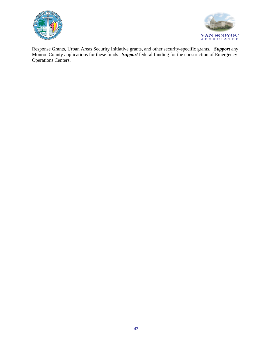



Response Grants, Urban Areas Security Initiative grants, and other security-specific grants. *Support* any Monroe County applications for these funds. *Support* federal funding for the construction of Emergency Operations Centers.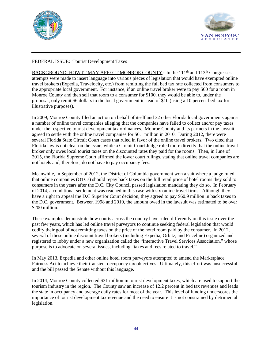



# FEDERAL ISSUE: Tourist Development Taxes

BACKGROUND; HOW IT MAY AFFECT MONROE COUNTY: In the 111<sup>th</sup> and 113<sup>th</sup> Congresses, attempts were made to insert language into various pieces of legislation that would have exempted online travel brokers (Expedia, Travelocity, etc.) from remitting the full bed tax rate collected from consumers to the appropriate local government. For instance, if an online travel broker were to pay \$60 for a room in Monroe County and then sell that room to a consumer for \$100, they would be able to, under the proposal, only remit \$6 dollars to the local government instead of \$10 (using a 10 percent bed tax for illustrative purposes).

In 2009, Monroe County filed an action on behalf of itself and 32 other Florida local governments against a number of online travel companies alleging that the companies have failed to collect and/or pay taxes under the respective tourist development tax ordinances. Monroe County and its partners in the lawsuit agreed to settle with the online travel companies for \$6.1 million in 2010. During 2012, there were several Florida State Circuit Court cases that ruled in favor of the online travel brokers. Two cited that Florida law is not clear on the issue, while a Circuit Court Judge ruled more directly that the online travel broker only owes local tourist taxes on the discounted rates they paid for the rooms. Then, in June of 2015, the Florida Supreme Court affirmed the lower court rulings, stating that online travel companies are not hotels and, therefore, do not have to pay occupancy fees.

Meanwhile, in September of 2012, the District of Columbia government won a suit where a judge ruled that online companies (OTCs) should repay back taxes on the full retail price of hotel rooms they sold to consumers in the years after the D.C. City Council passed legislation mandating they do so. In February of 2014, a conditional settlement was reached in this case with six online travel firms. Although they have a right to appeal the D.C Superior Court decision, they agreed to pay \$60.9 million in back taxes to the D.C. government. Between 1998 and 2010, the amount owed in the lawsuit was estimated to be over \$200 million.

These examples demonstrate how courts across the country have ruled differently on this issue over the past few years, which has led online travel purveyors to continue seeking federal legislation that would codify their goal of not remitting taxes on the price of the hotel room paid by the consumer. In 2012, several of these online discount travel brokers (including Expedia, Orbitz, and Priceline) organized and registered to lobby under a new organization called the "Interactive Travel Services Association," whose purpose is to advocate on several issues, including "taxes and fees related to travel."

In May 2013, Expedia and other online hotel room purveyors attempted to amend the Marketplace Fairness Act to achieve their transient occupancy tax objectives. Ultimately, this effort was unsuccessful and the bill passed the Senate without this language.

In 2014, Monroe County collected \$31 million in tourist development taxes, which are used to support the tourism industry in the region. The County saw an increase of 12.2 percent in bed tax revenues and leads the state in occupancy and average daily rates for most of the year. This level of funding underscores the importance of tourist development tax revenue and the need to ensure it is not constrained by detrimental legislation.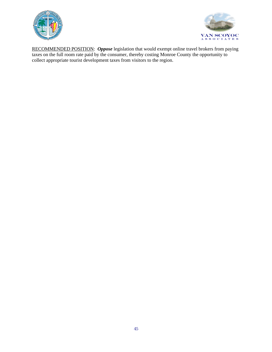



RECOMMENDED POSITION: *Oppose* legislation that would exempt online travel brokers from paying taxes on the full room rate paid by the consumer, thereby costing Monroe County the opportunity to collect appropriate tourist development taxes from visitors to the region.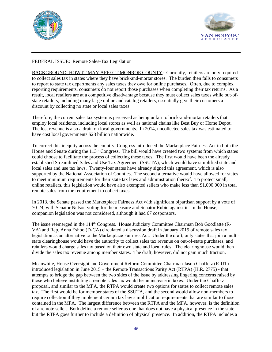



# FEDERAL ISSUE: Remote Sales-Tax Legislation

BACKGROUND; HOW IT MAY AFFECT MONROE COUNTY: Currently, retailers are only required to collect sales tax in states where they have brick-and-mortar stores. The burden then falls to consumers to report to state tax departments any sales taxes they owe for online purchases. Often, due to complex reporting requirements, consumers do not report those purchases when completing their tax returns. As a result, local retailers are at a competitive disadvantage because they must collect sales taxes while out-ofstate retailers, including many large online and catalog retailers, essentially give their customers a discount by collecting no state or local sales taxes.

Therefore, the current sales tax system is perceived as being unfair to brick-and-mortar retailers that employ local residents, including local stores as well as national chains like Best Buy or Home Depot. The lost revenue is also a drain on local governments. In 2014, uncollected sales tax was estimated to have cost local governments \$23 billion nationwide.

To correct this inequity across the country, Congress introduced the Marketplace Fairness Act in both the House and Senate during the 113th Congress. The bill would have created two systems from which states could choose to facilitate the process of collecting these taxes. The first would have been the already established Streamlined Sales and Use Tax Agreement (SSUTA), which would have simplified state and local sales and use tax laws. Twenty-four states have already signed this agreement, which is also supported by the National Association of Counties. The second alternative would have allowed for states to meet minimum requirements for their state tax laws and administration thereof. To protect small, online retailers, this legislation would have also exempted sellers who make less than \$1,000,000 in total remote sales from the requirement to collect taxes.

In 2013, the Senate passed the Marketplace Fairness Act with significant bipartisan support by a vote of 70-24, with Senator Nelson voting for the measure and Senator Rubio against it. In the House, companion legislation was not considered, although it had 67 cosponsors.

The issue reemerged in the 114<sup>th</sup> Congress. House Judiciary Committee Chairman Bob Goodlatte (R-VA) and Rep. Anna Eshoo (D-CA) circulated a discussion draft in January 2015 of remote sales tax legislation as an alternative to the Marketplace Fairness Act. Under the draft, only states that join a multistate clearinghouse would have the authority to collect sales tax revenue on out-of-state purchases, and retailers would charge sales tax based on their own state and local rules. The clearinghouse would then divide the sales tax revenue among member states. The draft, however, did not gain much traction.

Meanwhile, House Oversight and Government Reform Committee Chairman Jason Chaffetz (R-UT) introduced legislation in June 2015 – the Remote Transactions Parity Act (RTPA) (H.R. 2775) - that attempts to bridge the gap between the two sides of the issue by addressing lingering concerns raised by those who believe instituting a remote sales tax would be an increase in taxes. Under the Chaffetz proposal, and similar to the MFA, the RTPA would create two options for states to collect remote sales tax. The first would be for member states of the SSUTA, and the second would allow non-members to require collection if they implement certain tax law simplification requirements that are similar to those contained in the MFA. The largest difference between the RTPA and the MFA, however, is the definition of a remote seller. Both define a remote seller as one that does not have a physical presence in the state, but the RTPA goes further to include a definition of physical presence. In addition, the RTPA includes a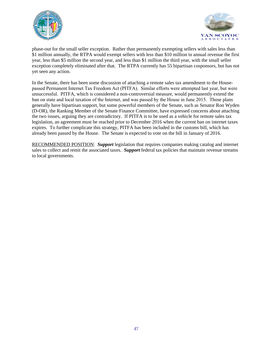



phase-out for the small seller exception. Rather than permanently exempting sellers with sales less than \$1 million annually, the RTPA would exempt sellers with less than \$10 million in annual revenue the first year, less than \$5 million the second year, and less than \$1 million the third year, with the small seller exception completely eliminated after that. The RTPA currently has 55 bipartisan cosponsors, but has not yet seen any action.

In the Senate, there has been some discussion of attaching a remote sales tax amendment to the Housepassed Permanent Internet Tax Freedom Act (PITFA). Similar efforts were attempted last year, but were unsuccessful. PITFA, which is considered a non-controversial measure, would permanently extend the ban on state and local taxation of the Internet, and was passed by the House in June 2015. Those plans generally have bipartisan support, but some powerful members of the Senate, such as Senator Ron Wyden (D-OR), the Ranking Member of the Senate Finance Committee, have expressed concerns about attaching the two issues, arguing they are contradictory. If PITFA is to be used as a vehicle for remote sales tax legislation, an agreement must be reached prior to December 2016 when the current ban on internet taxes expires. To further complicate this strategy, PITFA has been included in the customs bill, which has already been passed by the House. The Senate is expected to vote on the bill in January of 2016.

RECOMMENDED POSITION: *Support* legislation that requires companies making catalog and internet sales to collect and remit the associated taxes. *Support* federal tax policies that maintain revenue streams to local governments.